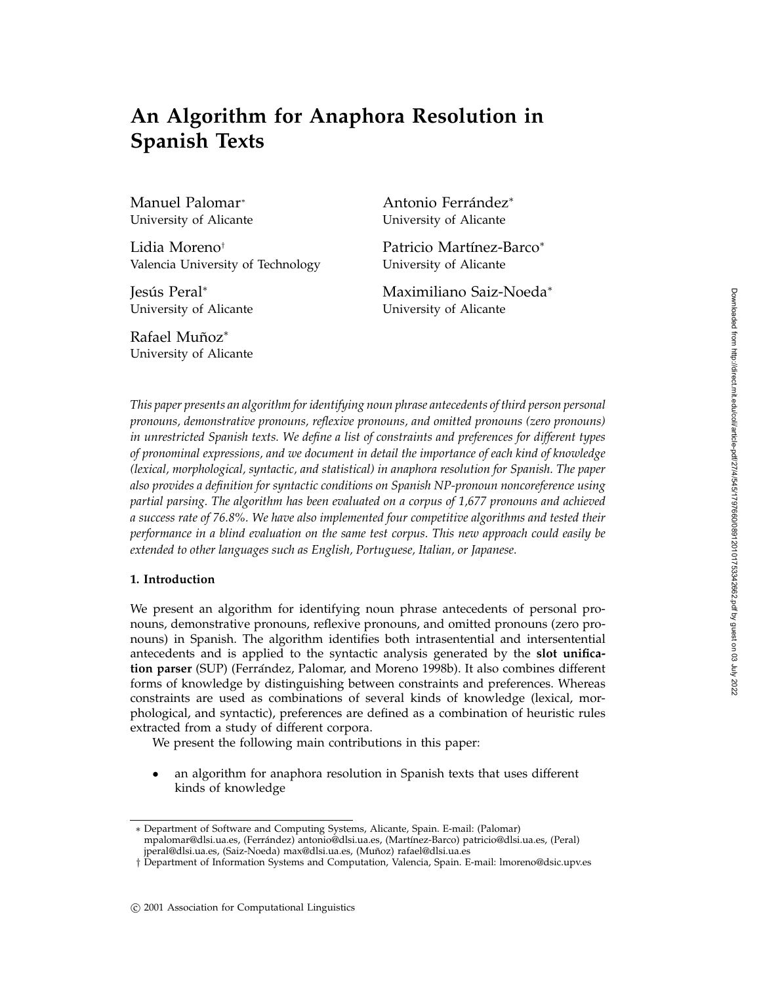# **An Algorithm for Anaphora Resolution in Spanish Texts**

Lidia Moreno† Patricio Martínez-Barco<sup>∗</sup> Valencia University of Technology University of Alicante

Rafael Muñoz<sup>\*</sup> University of Alicante

Manuel Palomar<sup>∗</sup> antonio Ferrández<sup>∗</sup> University of Alicante University of Alicante

Jesús Peral<sup>∗</sup> Maximiliano Saiz-Noeda<sup>∗</sup> University of Alicante University of Alicante

*This paper presents an algorithm for identifying noun phrase antecedents of third person personal pronouns, demonstrative pronouns, reflexive pronouns, and omitted pronouns (zero pronouns) in unrestricted Spanish texts. We define a list of constraints and preferences for different types of pronominal expressions, and we document in detail the importance of each kind of knowledge (lexical, morphological, syntactic, and statistical) in anaphora resolution for Spanish. The paper also provides a definition for syntactic conditions on Spanish NP-pronoun noncoreference using partial parsing. The algorithm has been evaluated on a corpus of 1,677 pronouns and achieved a success rate of 76.8%. We have also implemented four competitive algorithms and tested their performance in a blind evaluation on the same test corpus. This new approach could easily be extended to other languages such as English, Portuguese, Italian, or Japanese.*

# **1. Introduction**

We present an algorithm for identifying noun phrase antecedents of personal pronouns, demonstrative pronouns, reflexive pronouns, and omitted pronouns (zero pronouns) in Spanish. The algorithm identifies both intrasentential and intersentential antecedents and is applied to the syntactic analysis generated by the **slot unifica**tion parser (SUP) (Ferrandez, Palomar, and Moreno 1998b). It also combines different forms of knowledge by distinguishing between constraints and preferences. Whereas constraints are used as combinations of several kinds of knowledge (lexical, morphological, and syntactic), preferences are defined as a combination of heuristic rules extracted from a study of different corpora.

We present the following main contributions in this paper:

• an algorithm for anaphora resolution in Spanish texts that uses different kinds of knowledge

<sup>∗</sup> Department of Software and Computing Systems, Alicante, Spain. E-mail: (Palomar) mpalomar@dlsi.ua.es, (Ferrández) antonio@dlsi.ua.es, (Martínez-Barco) patricio@dlsi.ua.es, (Peral) jperal@dlsi.ua.es, (Saiz-Noeda) max@dlsi.ua.es, (Muñoz) rafael@dlsi.ua.es

<sup>†</sup> Department of Information Systems and Computation, Valencia, Spain. E-mail: lmoreno@dsic.upv.es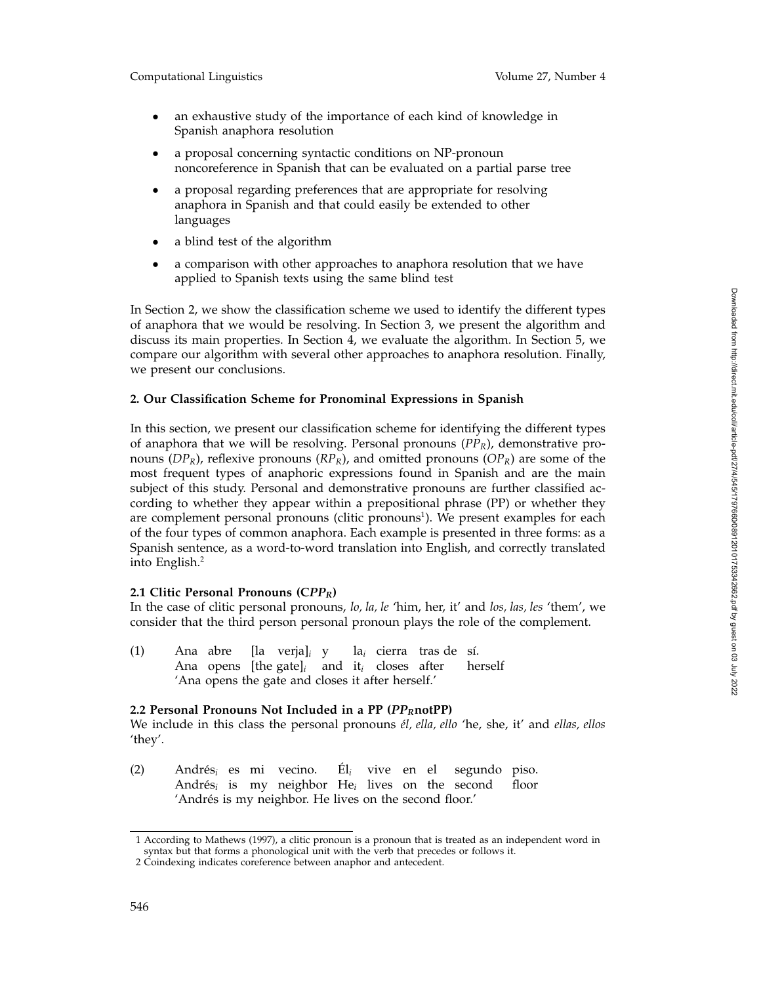- an exhaustive study of the importance of each kind of knowledge in Spanish anaphora resolution
- a proposal concerning syntactic conditions on NP-pronoun noncoreference in Spanish that can be evaluated on a partial parse tree
- a proposal regarding preferences that are appropriate for resolving anaphora in Spanish and that could easily be extended to other languages
- a blind test of the algorithm
- a comparison with other approaches to anaphora resolution that we have applied to Spanish texts using the same blind test

In Section 2, we show the classification scheme we used to identify the different types of anaphora that we would be resolving. In Section 3, we present the algorithm and discuss its main properties. In Section 4, we evaluate the algorithm. In Section 5, we compare our algorithm with several other approaches to anaphora resolution. Finally, we present our conclusions.

# **2. Our Classification Scheme for Pronominal Expressions in Spanish**

In this section, we present our classification scheme for identifying the different types of anaphora that we will be resolving. Personal pronouns (*PPR*), demonstrative pronouns (*DPR*), reflexive pronouns (*RPR*), and omitted pronouns (*OPR*) are some of the most frequent types of anaphoric expressions found in Spanish and are the main subject of this study. Personal and demonstrative pronouns are further classified according to whether they appear within a prepositional phrase (PP) or whether they are complement personal pronouns (clitic pronouns<sup>1</sup>). We present examples for each of the four types of common anaphora. Each example is presented in three forms: as a Spanish sentence, as a word-to-word translation into English, and correctly translated into English.2

# **2.1 Clitic Personal Pronouns (C***PPR***)**

In the case of clitic personal pronouns, *lo, la, le* 'him, her, it' and *los, las, les* 'them', we consider that the third person personal pronoun plays the role of the complement.

(1) Ana abre Ana opens [the gate]*<sup>i</sup>* and it*i* closes after [la verja]*<sup>i</sup>* y la<sub>i</sub> cierra tras-de sí. herself 'Ana opens the gate and closes it after herself.'

# 2.2 Personal Pronouns Not Included in a PP ( $PP<sub>R</sub>$ notPP)

We include in this class the personal pronouns *el, ella, ello ´* 'he, she, it' and *ellas, ellos* 'they'.

(2) Andrés<sub>*i*</sub> es mi vecino. Andrés<sub>i</sub> is my neighbor He<sub>i</sub> lives on the second  $E$ l<sub>*i*</sub> vive en el segundo piso. floor 'Andrés is my neighbor. He lives on the second floor.'

<sup>1</sup> According to Mathews (1997), a clitic pronoun is a pronoun that is treated as an independent word in syntax but that forms a phonological unit with the verb that precedes or follows it.

<sup>2</sup> Coindexing indicates coreference between anaphor and antecedent.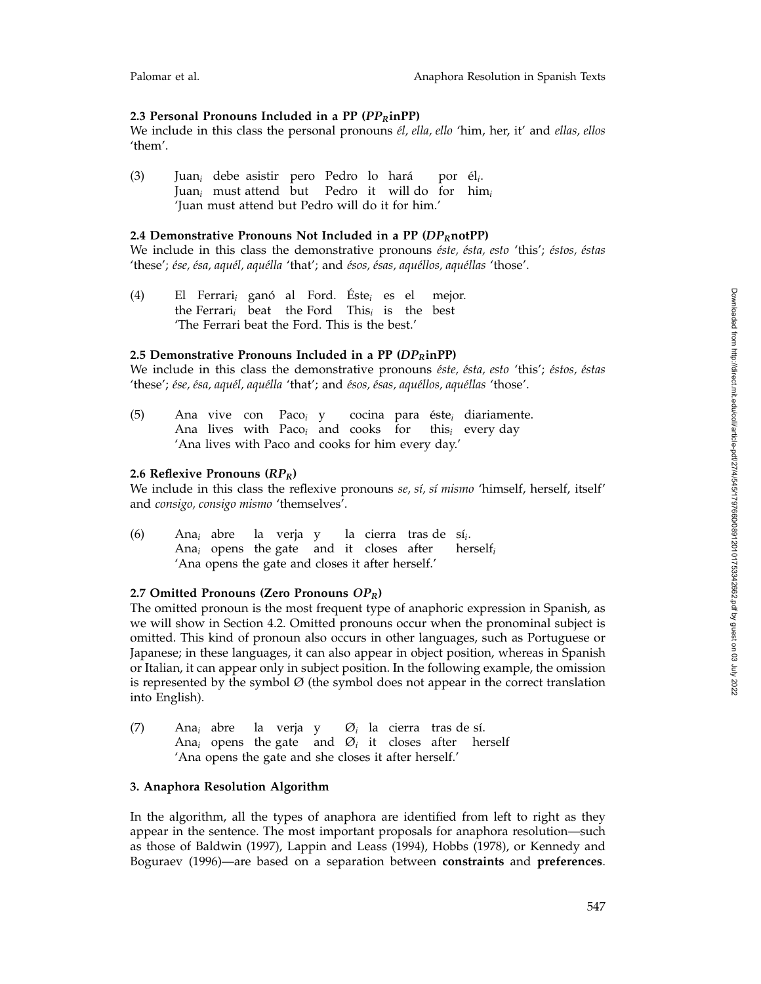# **2.3 Personal Pronouns Included in a PP (***PPR***inPP)**

We include in this class the personal pronouns *el, ella, ello ´* 'him, her, it' and *ellas, ellos* 'them'.

(3) Juan<sub>i</sub> debe asistir pero Pedro lo hará Juan*<sup>i</sup>* must attend but Pedro it will do for him*<sup>i</sup>* por él<sub>i</sub>. 'Juan must attend but Pedro will do it for him.'

# **2.4 Demonstrative Pronouns Not Included in a PP (** $DP<sub>R</sub>$ **notPP)**

We include in this class the demonstrative pronouns *éste, ésta, esto 'this'; éstos, éstas* 'these'; *ése, ésa, aquél, aquélla* 'that'; and *ésos, ésas, aquéllos, aquéllas* 'those'.

(4) El Ferrari<sub>i</sub> ganó al Ford. Éste<sub>i</sub> es el the Ferrari*<sup>i</sup>* beat the Ford This*<sup>i</sup>* is the best mejor. 'The Ferrari beat the Ford. This is the best.'

# **2.5 Demonstrative Pronouns Included in a PP (***DPR***inPP)**

We include in this class the demonstrative pronouns éste, ésta, esto 'this'; éstos, éstas 'these'; *ése, ésa, aquél, aquélla* 'that'; and *ésos, ésas, aquéllos, aquéllas* 'those'.

(5) Ana vive con Paco*<sup>i</sup>* y Ana lives with Paco*<sup>i</sup>* and cooks for cocina para éste<sub>i</sub> diariamente. this*<sup>i</sup>* every day 'Ana lives with Paco and cooks for him every day.'

# **2.6 Reflexive Pronouns (***RPR***)**

We include in this class the reflexive pronouns *se, s´ı, s´ı mismo* 'himself, herself, itself' and *consigo, consigo mismo* 'themselves'.

(6) Ana*<sup>i</sup>* abre Ana<sub>i</sub> opens the-gate and it closes after la verja y la cierra tras-de sí<sub>*i*</sub>. herself*<sup>i</sup>* 'Ana opens the gate and closes it after herself.'

# **2.7 Omitted Pronouns (Zero Pronouns** *OPR***)**

The omitted pronoun is the most frequent type of anaphoric expression in Spanish, as we will show in Section 4.2. Omitted pronouns occur when the pronominal subject is omitted. This kind of pronoun also occurs in other languages, such as Portuguese or Japanese; in these languages, it can also appear in object position, whereas in Spanish or Italian, it can appear only in subject position. In the following example, the omission is represented by the symbol  $\emptyset$  (the symbol does not appear in the correct translation into English).

(7) Ana*<sup>i</sup>* abre Ana<sub>*i*</sub> opens the gate and  $\varnothing$ <sub>*i*</sub> it closes after herself la verja y  $\mathcal{O}_i$  la cierra tras de sí. 'Ana opens the gate and she closes it after herself.'

# **3. Anaphora Resolution Algorithm**

In the algorithm, all the types of anaphora are identified from left to right as they appear in the sentence. The most important proposals for anaphora resolution—such as those of Baldwin (1997), Lappin and Leass (1994), Hobbs (1978), or Kennedy and Boguraev (1996)—are based on a separation between **constraints** and **preferences**.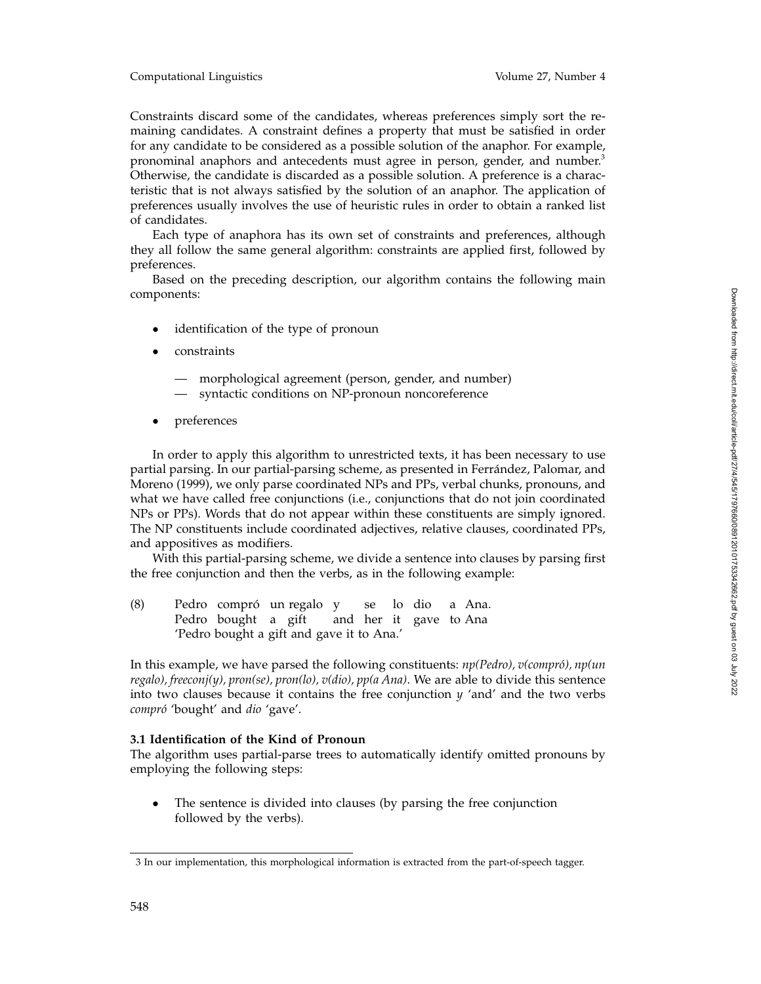Constraints discard some of the candidates, whereas preferences simply sort the remaining candidates. A constraint defines a property that must be satisfied in order for any candidate to be considered as a possible solution of the anaphor. For example, pronominal anaphors and antecedents must agree in person, gender, and number.<sup>3</sup> Otherwise, the candidate is discarded as a possible solution. A preference is a characteristic that is not always satisfied by the solution of an anaphor. The application of preferences usually involves the use of heuristic rules in order to obtain a ranked list of candidates.

Each type of anaphora has its own set of constraints and preferences, although they all follow the same general algorithm: constraints are applied first, followed by preferences.

Based on the preceding description, our algorithm contains the following main components:

- identification of the type of pronoun
- constraints
	- morphological agreement (person, gender, and number)
	- syntactic conditions on NP-pronoun noncoreference
- preferences

In order to apply this algorithm to unrestricted texts, it has been necessary to use partial parsing. In our partial-parsing scheme, as presented in Ferrández, Palomar, and Moreno (1999), we only parse coordinated NPs and PPs, verbal chunks, pronouns, and what we have called free conjunctions (i.e., conjunctions that do not join coordinated NPs or PPs). Words that do not appear within these constituents are simply ignored. The NP constituents include coordinated adjectives, relative clauses, coordinated PPs, and appositives as modifiers.

With this partial-parsing scheme, we divide a sentence into clauses by parsing first the free conjunction and then the verbs, as in the following example:

(8) Pedro compró un regalo y Pedro bought a gift and her it se lo dio gave to Ana a Ana. 'Pedro bought a gift and gave it to Ana.'

In this example, we have parsed the following constituents: *np*(*Pedro*), *v*(*compró*), *np*(*un regalo), freeconj(y), pron(se), pron(lo), v(dio), pp(a Ana)*. We are able to divide this sentence into two clauses because it contains the free conjunction *y* 'and' and the two verbs *compr´o* 'bought' and *dio* 'gave'.

# **3.1 Identification of the Kind of Pronoun**

The algorithm uses partial-parse trees to automatically identify omitted pronouns by employing the following steps:

The sentence is divided into clauses (by parsing the free conjunction followed by the verbs).

<sup>3</sup> In our implementation, this morphological information is extracted from the part-of-speech tagger.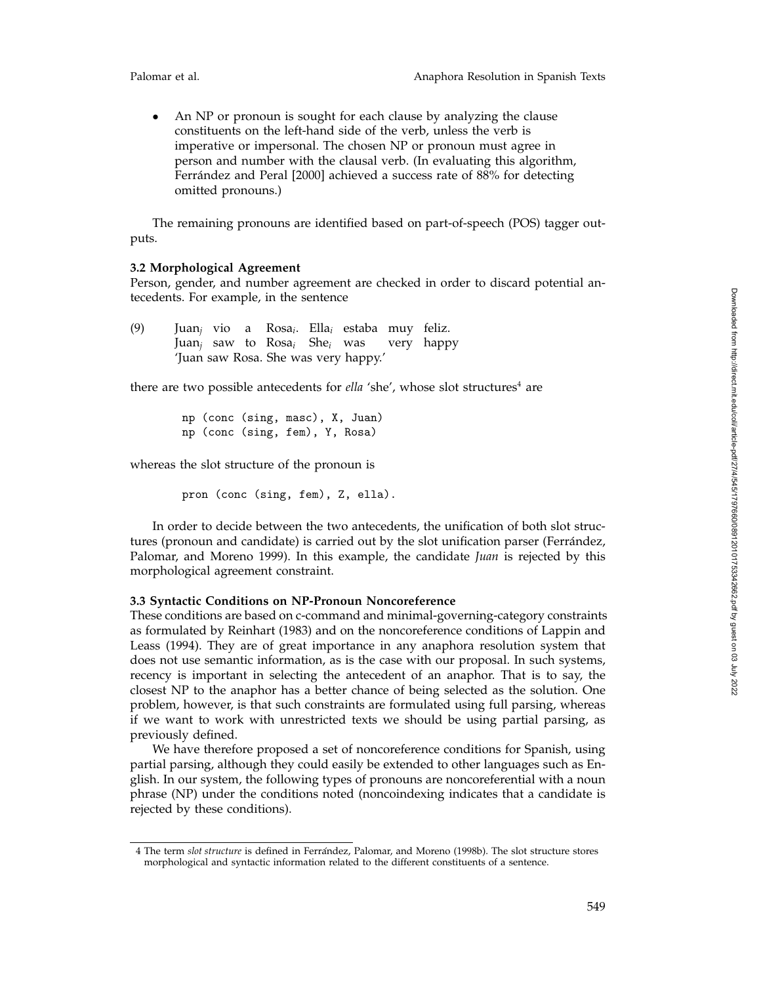• An NP or pronoun is sought for each clause by analyzing the clause constituents on the left-hand side of the verb, unless the verb is imperative or impersonal. The chosen NP or pronoun must agree in person and number with the clausal verb. (In evaluating this algorithm, Ferrández and Peral [2000] achieved a success rate of 88% for detecting omitted pronouns.)

The remaining pronouns are identified based on part-of-speech (POS) tagger outputs.

#### **3.2 Morphological Agreement**

Person, gender, and number agreement are checked in order to discard potential antecedents. For example, in the sentence

(9) Juan*<sup>j</sup>* vio a Rosa*i*. Ella*<sup>i</sup>* estaba muy feliz. Juan*<sup>j</sup>* saw to Rosa*<sup>i</sup>* She*<sup>i</sup>* was very happy 'Juan saw Rosa. She was very happy.'

there are two possible antecedents for *ella* 'she', whose slot structures<sup>4</sup> are

np (conc (sing, masc), X, Juan) np (conc (sing, fem), Y, Rosa)

whereas the slot structure of the pronoun is

pron (conc (sing, fem), Z, ella).

In order to decide between the two antecedents, the unification of both slot structures (pronoun and candidate) is carried out by the slot unification parser (Ferrández, Palomar, and Moreno 1999). In this example, the candidate *Juan* is rejected by this morphological agreement constraint.

# **3.3 Syntactic Conditions on NP-Pronoun Noncoreference**

These conditions are based on c-command and minimal-governing-category constraints as formulated by Reinhart (1983) and on the noncoreference conditions of Lappin and Leass (1994). They are of great importance in any anaphora resolution system that does not use semantic information, as is the case with our proposal. In such systems, recency is important in selecting the antecedent of an anaphor. That is to say, the closest NP to the anaphor has a better chance of being selected as the solution. One problem, however, is that such constraints are formulated using full parsing, whereas if we want to work with unrestricted texts we should be using partial parsing, as previously defined.

We have therefore proposed a set of noncoreference conditions for Spanish, using partial parsing, although they could easily be extended to other languages such as English. In our system, the following types of pronouns are noncoreferential with a noun phrase (NP) under the conditions noted (noncoindexing indicates that a candidate is rejected by these conditions).

<sup>4</sup> The term *slot structure* is defined in Ferrandez, Palomar, and Moreno (1998b). The slot structure stores morphological and syntactic information related to the different constituents of a sentence.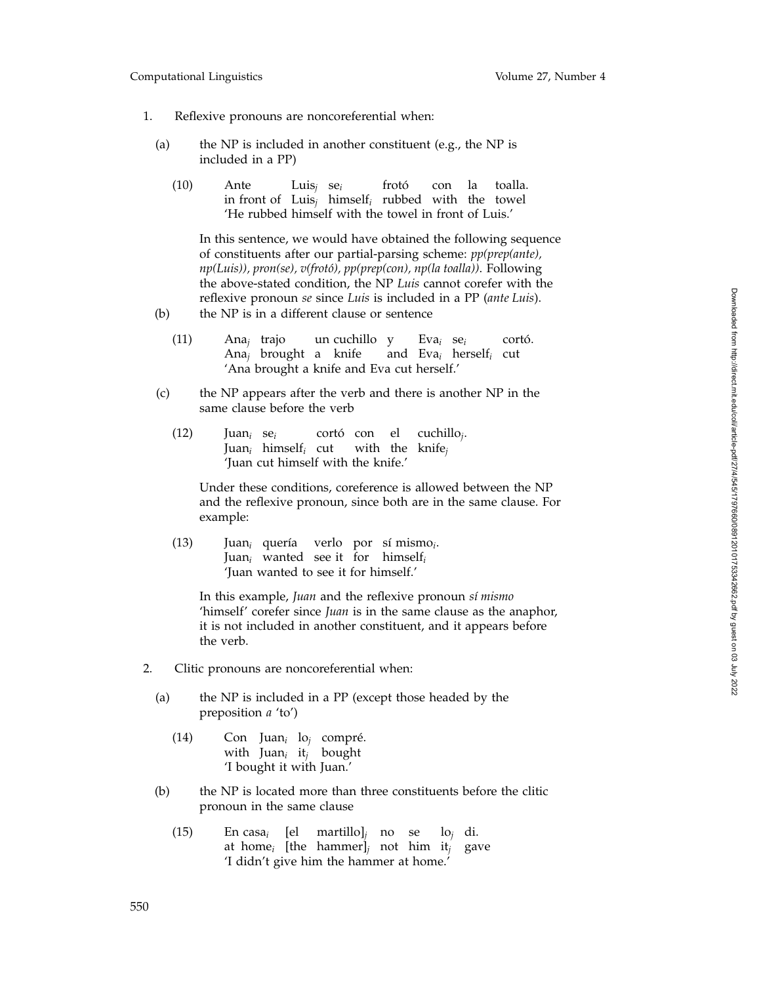- 1. Reflexive pronouns are noncoreferential when:
	- (a) the NP is included in another constituent (e.g., the NP is included in a PP)
		- (10) Ante in front of Luis*<sup>j</sup>* himself *i* rubbed with the towel Luis*<sup>j</sup>* se *i* frotó con la toalla. 'He rubbed himself with the towel in front of Luis.'

In this sentence, we would have obtained the following sequence of constituents after our partial-parsing scheme: *pp(prep(ante), np(Luis)), pron(se), v(frot´o), pp(prep(con), np(la toalla))*. Following the above-stated condition, the NP *Luis* cannot corefer with the reflexive pronoun *se* since *Luis* is included in a PP (*ante Luis*).

- (b) the NP is in a different clause or sentence
	- (11) Ana*<sup>j</sup>* trajo Ana*<sup>j</sup>* brought a knife un cuchillo y and Eva *i* herself *i* cut Eva *i* se *i* cortó. 'Ana brought a knife and Eva cut herself.'
- (c) the NP appears after the verb and there is another NP in the same clause before the verb
	- (12) Juan *i* se *i* Juan *i* himself *i* cut cortó con with the knife*<sup>j</sup>* el cuchillo*<sup>j</sup>* . 'Juan cut himself with the knife.'

Under these conditions, coreference is allowed between the NP and the reflexive pronoun, since both are in the same clause. For example:

(13) **Juan**<sub>*i*</sub> quería verlo por símismo<sub>*i*</sub>. Juan *i* wanted see it for himself *i* 'Juan wanted to see it for himself.'

> In this example, *Juan* and the reflexive pronoun *s´ı mismo* 'himself' corefer since *Juan* is in the same clause as the anaphor, it is not included in another constituent, and it appears before the verb.

- 2. Clitic pronouns are noncoreferential when:
	- (a) the NP is included in a PP (except those headed by the preposition *a* 'to')
		- $(14)$  Con Juan<sub>*i*</sub> lo<sub>*j*</sub> compré. with Juan *i* it*j* bought 'I bought it with Juan.'
	- (b) the NP is located more than three constituents before the clitic pronoun in the same clause
		- (15) En casa *i* at home *i* [the hammer] *j* not him it*j* [el martillo] *j* no se lo*j* di. gave 'I didn't give him the hammer at home.'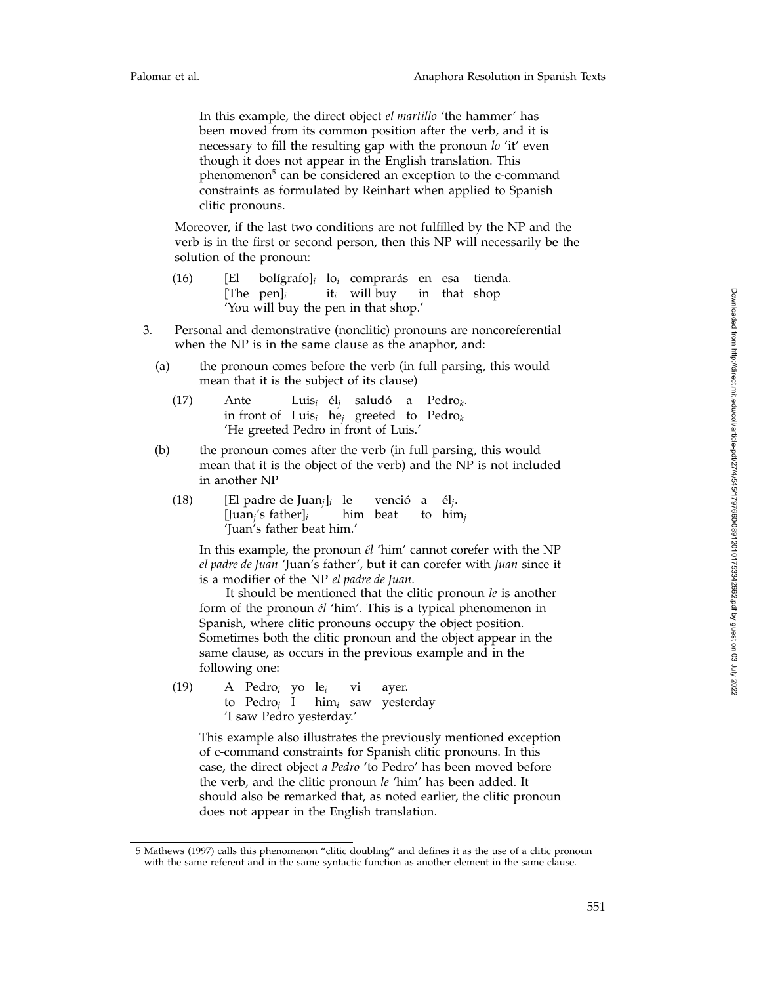In this example, the direct object *el martillo* 'the hammer' has been moved from its common position after the verb, and it is necessary to fill the resulting gap with the pronoun *lo* 'it' even though it does not appear in the English translation. This phenomenon <sup>5</sup> can be considered an exception to the c-command constraints as formulated by Reinhart when applied to Spanish clitic pronouns.

Moreover, if the last two conditions are not fulfilled by the NP and the verb is in the first or second person, then this NP will necessarily be the solution of the pronoun:

- (16) [El [The pen] *i* bolígrafo]<sub>i</sub> lo<sub>i</sub> comprarás en esa tienda. it *i* will buy in that shop 'You will buy the pen in that shop.'
- 3. Personal and demonstrative (nonclitic) pronouns are noncoreferential when the NP is in the same clause as the anaphor, and:
	- (a) the pronoun comes before the verb (in full parsing, this would mean that it is the subject of its clause)
		- (17) Ante in front of Luis *i* he*<sup>j</sup>* greeted to Pedro *k* Luis<sub>i</sub> él<sub>j</sub> saludó a Pedro<sub>k</sub>. 'He greeted Pedro in front of Luis.'
	- (b) the pronoun comes after the verb (in full parsing, this would mean that it is the object of the verb) and the NP is not included in another NP
		- (18) [El padre de Juan*<sup>j</sup>* ] *i* le [Juan*j*'s father] *i* him beat venció a to him*<sup>j</sup>* él<sub>j</sub>. 'Juan's father beat him.'

In this example, the pronoun *el´* 'him' cannot corefer with the NP *el padre de Juan* 'Juan's father', but it can corefer with *Juan* since it is a modifier of the NP *el padre de Juan* .

It should be mentioned that the clitic pronoun *le* is another form of the pronoun *el´* 'him'. This is a typical phenomenon in Spanish, where clitic pronouns occupy the object position. Sometimes both the clitic pronoun and the object appear in the same clause, as occurs in the previous example and in the following one:

 $(19)$ to Pedro*<sup>j</sup>* Pedro<sub>i</sub> yo le<sub>i</sub><br>Pedro<sub>i</sub> I hi him *i* saw yesterday vi ayer. 'I saw Pedro yesterday.'

> This example also illustrates the previously mentioned exception of c-command constraints for Spanish clitic pronouns. In this case, the direct object *a Pedro* 'to Pedro' has been moved before the verb, and the clitic pronoun *le* 'him' has been added. It should also be remarked that, as noted earlier, the clitic pronoun does not appear in the English translation.

<sup>5</sup> Mathews (1997) calls this phenomenon "clitic doubling" and defines it as the use of a clitic pronoun with the same referent and in the same syntactic function as another element in the same clause.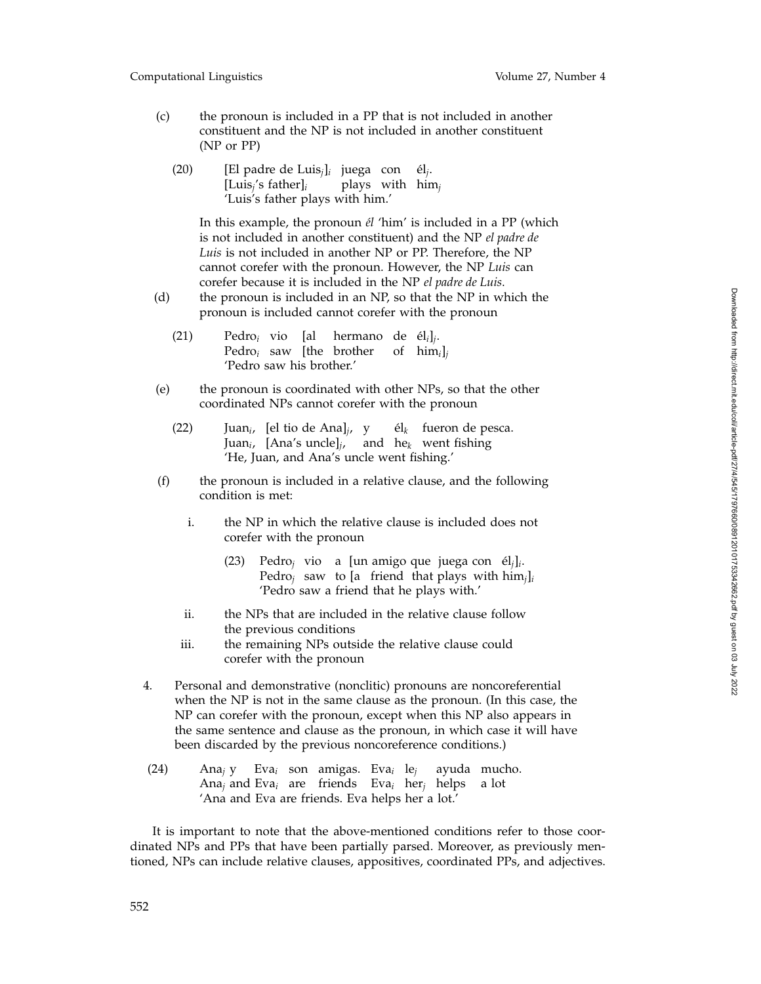- (c) the pronoun is included in a PP that is not included in another constituent and the NP is not included in another constituent (NP or PP)
	- (20) [El padre de Luis*<sup>j</sup>* ] *i* juega con [Luis*j*'s father] *i* plays with him*<sup>j</sup>* él<sub>j</sub>. 'Luis's father plays with him.'

In this example, the pronoun *el´* 'him' is included in a PP (which is not included in another constituent) and the NP *el padre de Luis* is not included in another NP or PP. Therefore, the NP cannot corefer with the pronoun. However, the NP *Luis* can corefer because it is included in the NP *el padre de Luis* .

- (d) the pronoun is included in an NP, so that the NP in which the pronoun is included cannot corefer with the pronoun
	- (21) Pedro<sub>*i*</sub> vio [al hermano de él<sub>*i*</sub>]<sub>*j*</sub>. Pedro *i* saw [the brother of him *i* ] *j* 'Pedro saw his brother.'
- (e) the pronoun is coordinated with other NPs, so that the other coordinated NPs cannot corefer with the pronoun
	- (22) Juan *i* , [el tio de Ana] *j* , y Juan *i* , [Ana's uncle] *j* , and he *k* went fishing  $él_k$  fueron de pesca. 'He, Juan, and Ana's uncle went fishing.'
- (f) the pronoun is included in a relative clause, and the following condition is met:
	- i. the NP in which the relative clause is included does not corefer with the pronoun
		- (23) Pedro<sub>j</sub> vio a [un amigo que juega con él<sub>j</sub>]<sub>*i*</sub>. Pedro*<sup>j</sup>* saw to [a friend that plays with him*<sup>j</sup>* ] *i* 'Pedro saw a friend that he plays with.'
	- ii. the NPs that are included in the relative clause follow the previous conditions
	- iii. the remaining NPs outside the relative clause could corefer with the pronoun
- 4. Personal and demonstrative (nonclitic) pronouns are noncoreferential when the NP is not in the same clause as the pronoun. (In this case, the NP can corefer with the pronoun, except when this NP also appears in the same sentence and clause as the pronoun, in which case it will have been discarded by the previous noncoreference conditions.)
- $(24)$  Ana<sub>*i*</sub> y *i* son amigas. Eva *i* le*j* Ana<sub>j</sub> and Eva<sub>i</sub> are friends Eva<sub>i</sub> her<sub>j</sub> helps a lot ayuda mucho. 'Ana and Eva are friends. Eva helps her a lot.'

It is important to note that the above-mentioned conditions refer to those coordinated NPs and PPs that have been partially parsed. Moreover, as previously mentioned, NPs can include relative clauses, appositives, coordinated PPs, and adjectives.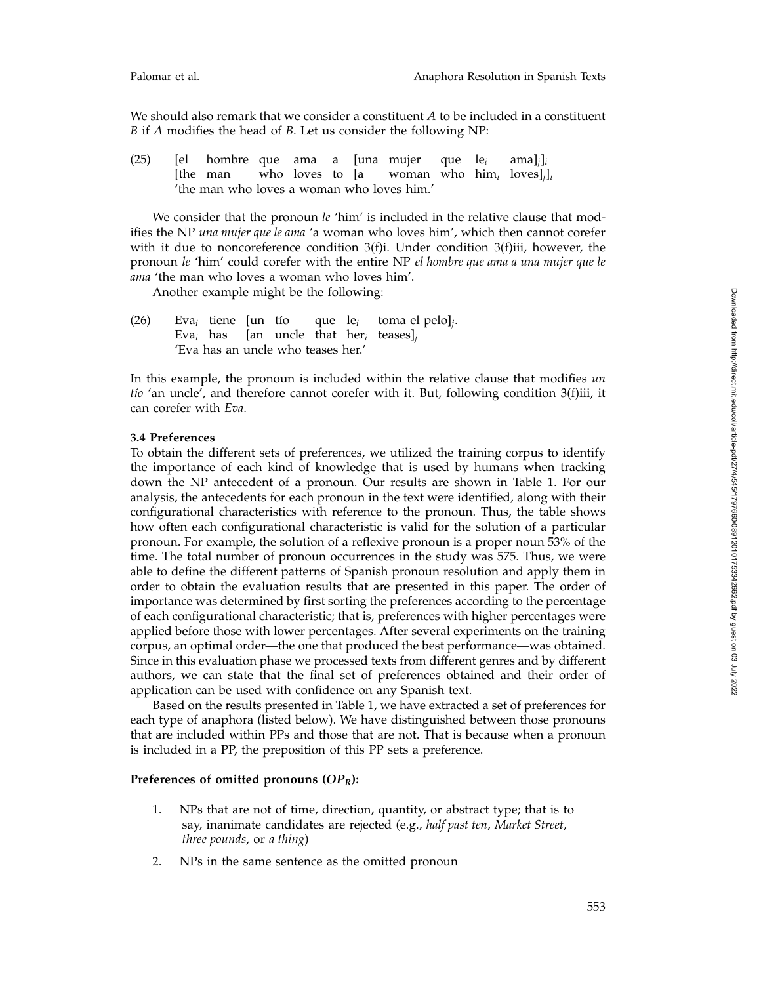We should also remark that we consider a constituent *A* to be included in a constituent *B* if *A* modifies the head of *B*. Let us consider the following NP:

(25) [el [the man hombre que ama a [una mujer who loves to [a woman who him*<sup>i</sup>* loves]*j*]*<sup>i</sup>* que le*i* ama]*j*]*<sup>i</sup>* 'the man who loves a woman who loves him.'

We consider that the pronoun *le* 'him' is included in the relative clause that modifies the NP *una mujer que le ama* 'a woman who loves him', which then cannot corefer with it due to noncoreference condition  $3(f)$ i. Under condition  $3(f)$ iii, however, the pronoun *le* 'him' could corefer with the entire NP *el hombre que ama a una mujer que le ama* 'the man who loves a woman who loves him'.

Another example might be the following:

(26) Eva<sub>*i*</sub> tiene [un tío Eva*<sup>i</sup>* has [an uncle that her*<sup>i</sup>* teases]*<sup>j</sup>* que le*i* toma el pelo]*j*. 'Eva has an uncle who teases her.'

In this example, the pronoun is included within the relative clause that modifies *un tio* 'an uncle', and therefore cannot corefer with it. But, following condition 3(f)iii, it can corefer with *Eva*.

# **3.4 Preferences**

To obtain the different sets of preferences, we utilized the training corpus to identify the importance of each kind of knowledge that is used by humans when tracking down the NP antecedent of a pronoun. Our results are shown in Table 1. For our analysis, the antecedents for each pronoun in the text were identified, along with their configurational characteristics with reference to the pronoun. Thus, the table shows how often each configurational characteristic is valid for the solution of a particular pronoun. For example, the solution of a reflexive pronoun is a proper noun 53% of the time. The total number of pronoun occurrences in the study was 575. Thus, we were able to define the different patterns of Spanish pronoun resolution and apply them in order to obtain the evaluation results that are presented in this paper. The order of importance was determined by first sorting the preferences according to the percentage of each configurational characteristic; that is, preferences with higher percentages were applied before those with lower percentages. After several experiments on the training corpus, an optimal order—the one that produced the best performance—was obtained. Since in this evaluation phase we processed texts from different genres and by different authors, we can state that the final set of preferences obtained and their order of application can be used with confidence on any Spanish text.

Based on the results presented in Table 1, we have extracted a set of preferences for each type of anaphora (listed below). We have distinguished between those pronouns that are included within PPs and those that are not. That is because when a pronoun is included in a PP, the preposition of this PP sets a preference.

# **Preferences of omitted pronouns (***OPR***):**

- 1. NPs that are not of time, direction, quantity, or abstract type; that is to say, inanimate candidates are rejected (e.g., *half past ten*, *Market Street*, *three pounds*, or *a thing*)
- 2. NPs in the same sentence as the omitted pronoun

553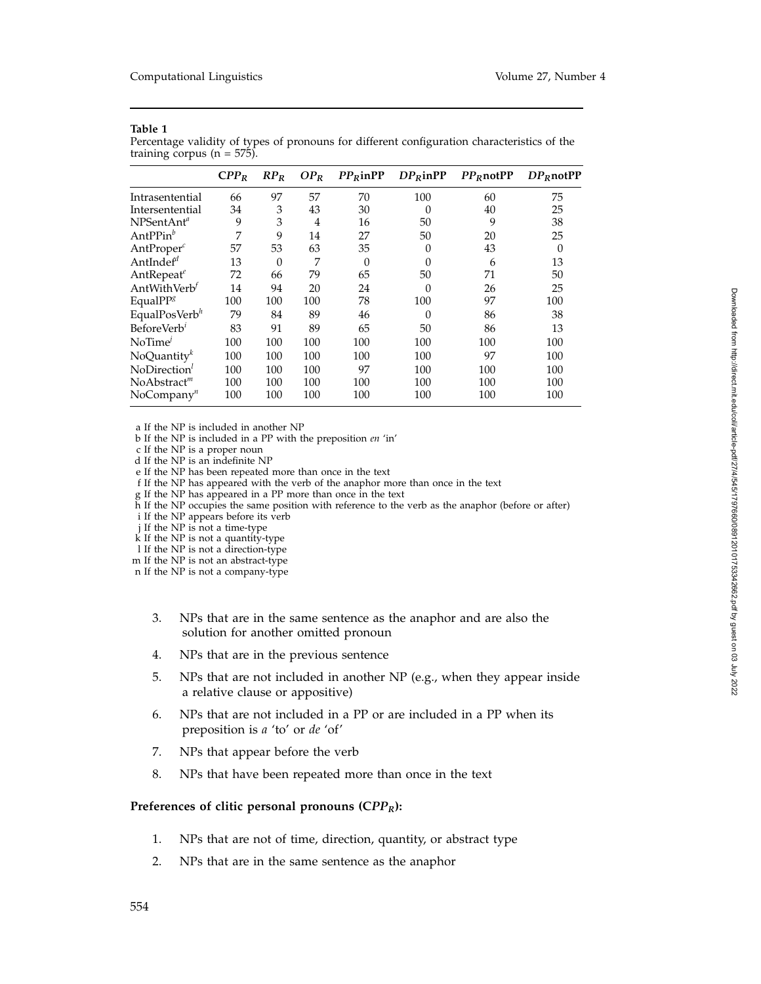#### **Table 1**

| Percentage validity of types of pronouns for different configuration characteristics of the |  |  |  |
|---------------------------------------------------------------------------------------------|--|--|--|
| training corpus ( $n = 575$ ).                                                              |  |  |  |

|                          | $\mathbf{CPP}_{R}$ | $RP_R$         | $OP_R$ | $PP_R$ inPP | $DP_R$ inPP | $PP_R$ not $PP$ | $DP_R$ not $PP$ |
|--------------------------|--------------------|----------------|--------|-------------|-------------|-----------------|-----------------|
| Intrasentential          | 66                 | 97             | 57     | 70          | 100         | 60              | 75              |
| Intersentential          | 34                 | 3              | 43     | 30          | $\Omega$    | 40              | 25              |
| NPSentAnt <sup>a</sup>   | 9                  | 3              | 4      | 16          | 50          | 9               | 38              |
| Ant $PPin^b$             | 7                  | 9              | 14     | 27          | 50          | 20              | 25              |
| Ant $Proper^c$           | 57                 | 53             | 63     | 35          | 0           | 43              | $\theta$        |
| AntInde $f^d$            | 13                 | $\overline{0}$ | 7      | $\theta$    | 0           | 6               | 13              |
| AntRepeat <sup>e</sup>   | 72                 | 66             | 79     | 65          | 50          | 71              | 50              |
| AntWithVerb'             | 14                 | 94             | 20     | 24          | 0           | 26              | 25              |
| EqualPP <sup>g</sup>     | 100                | 100            | 100    | 78          | 100         | 97              | 100             |
| EqualPosVer $b^h$        | 79                 | 84             | 89     | 46          | $\theta$    | 86              | 38              |
| BeforeVerb <sup>i</sup>  | 83                 | 91             | 89     | 65          | 50          | 86              | 13              |
| NoTime <sup>/</sup>      | 100                | 100            | 100    | 100         | 100         | 100             | 100             |
| NoQuantity <sup>k</sup>  | 100                | 100            | 100    | 100         | 100         | 97              | 100             |
| NoDirection <sup>l</sup> | 100                | 100            | 100    | 97          | 100         | 100             | 100             |
| NoAbstract <sup>m</sup>  | 100                | 100            | 100    | 100         | 100         | 100             | 100             |
| No Company <sup>n</sup>  | 100                | 100            | 100    | 100         | 100         | 100             | 100             |

a If the NP is included in another NP

- b If the NP is included in a PP with the preposition *en* 'in'
- c If the NP is a proper noun
- d If the NP is an indefinite NP

e If the NP has been repeated more than once in the text

- f If the NP has appeared with the verb of the anaphor more than once in the text
- g If the NP has appeared in a PP more than once in the text
- h If the NP occupies the same position with reference to the verb as the anaphor (before or after)
- i If the NP appears before its verb
- j If the NP is not a time-type
- k If the NP is not a quantity-type
- l If the NP is not a direction-type
- m If the NP is not an abstract-type
- n If the NP is not a company-type
	- 3. NPs that are in the same sentence as the anaphor and are also the solution for another omitted pronoun
	- 4. NPs that are in the previous sentence
	- 5. NPs that are not included in another NP (e.g., when they appear inside a relative clause or appositive)
	- 6. NPs that are not included in a PP or are included in a PP when its preposition is *a* 'to' or *de* 'of'
	- 7. NPs that appear before the verb
	- 8. NPs that have been repeated more than once in the text

#### **Preferences of clitic personal pronouns (C***PPR***):**

- 1. NPs that are not of time, direction, quantity, or abstract type
- 2. NPs that are in the same sentence as the anaphor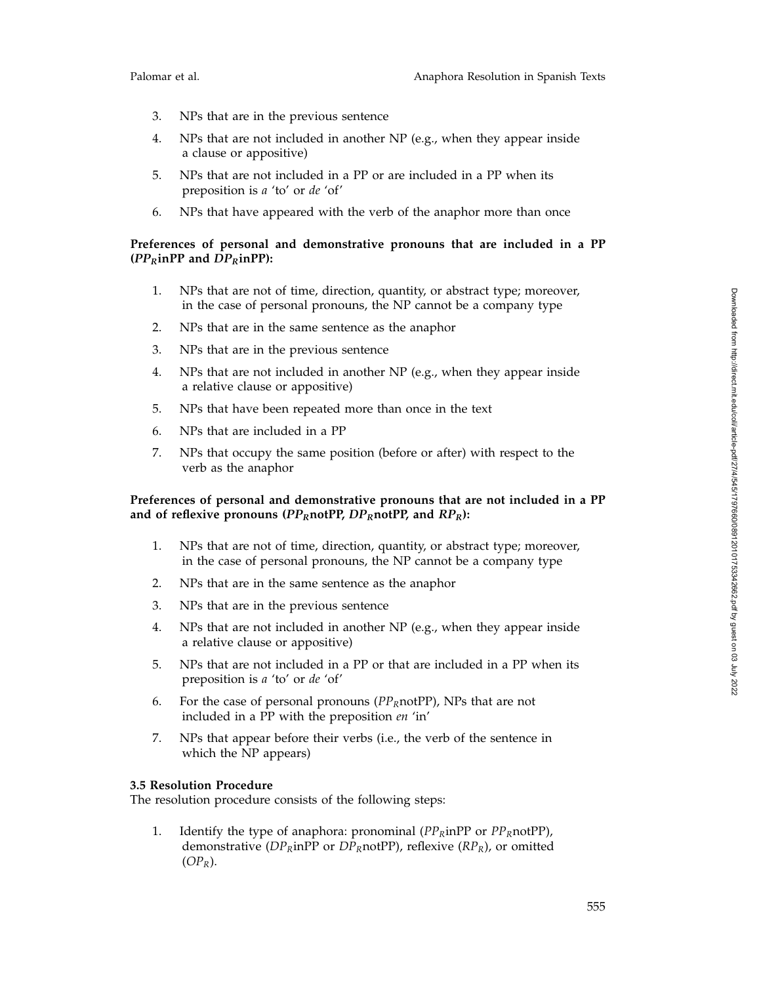- 3. NPs that are in the previous sentence
- 4. NPs that are not included in another NP (e.g., when they appear inside a clause or appositive)
- 5. NPs that are not included in a PP or are included in a PP when its preposition is *a* 'to' or *de* 'of'
- 6. NPs that have appeared with the verb of the anaphor more than once

# **Preferences of personal and demonstrative pronouns that are included in a PP**  $(PP_R$ **inPP** and  $DP_R$ **inPP**):

- 1. NPs that are not of time, direction, quantity, or abstract type; moreover, in the case of personal pronouns, the NP cannot be a company type
- 2. NPs that are in the same sentence as the anaphor
- 3. NPs that are in the previous sentence
- 4. NPs that are not included in another NP (e.g., when they appear inside a relative clause or appositive)
- 5. NPs that have been repeated more than once in the text
- 6. NPs that are included in a PP
- 7. NPs that occupy the same position (before or after) with respect to the verb as the anaphor

# **Preferences of personal and demonstrative pronouns that are not included in a PP** and of reflexive pronouns ( $PP_R$ **notPP,**  $DP_R$ **notPP, and**  $RP_R$ **):**

- 1. NPs that are not of time, direction, quantity, or abstract type; moreover, in the case of personal pronouns, the NP cannot be a company type
- 2. NPs that are in the same sentence as the anaphor
- 3. NPs that are in the previous sentence
- 4. NPs that are not included in another NP (e.g., when they appear inside a relative clause or appositive)
- 5. NPs that are not included in a PP or that are included in a PP when its preposition is *a* 'to' or *de* 'of'
- 6. For the case of personal pronouns (*PPR*notPP), NPs that are not included in a PP with the preposition *en* 'in'
- 7. NPs that appear before their verbs (i.e., the verb of the sentence in which the NP appears)

# **3.5 Resolution Procedure**

The resolution procedure consists of the following steps:

1. Identify the type of anaphora: pronominal  $(PP_R$ inPP or  $PP_R$ notPP), demonstrative (*DPR*inPP or *DPR*notPP), reflexive (*RPR*), or omitted (*OPR*).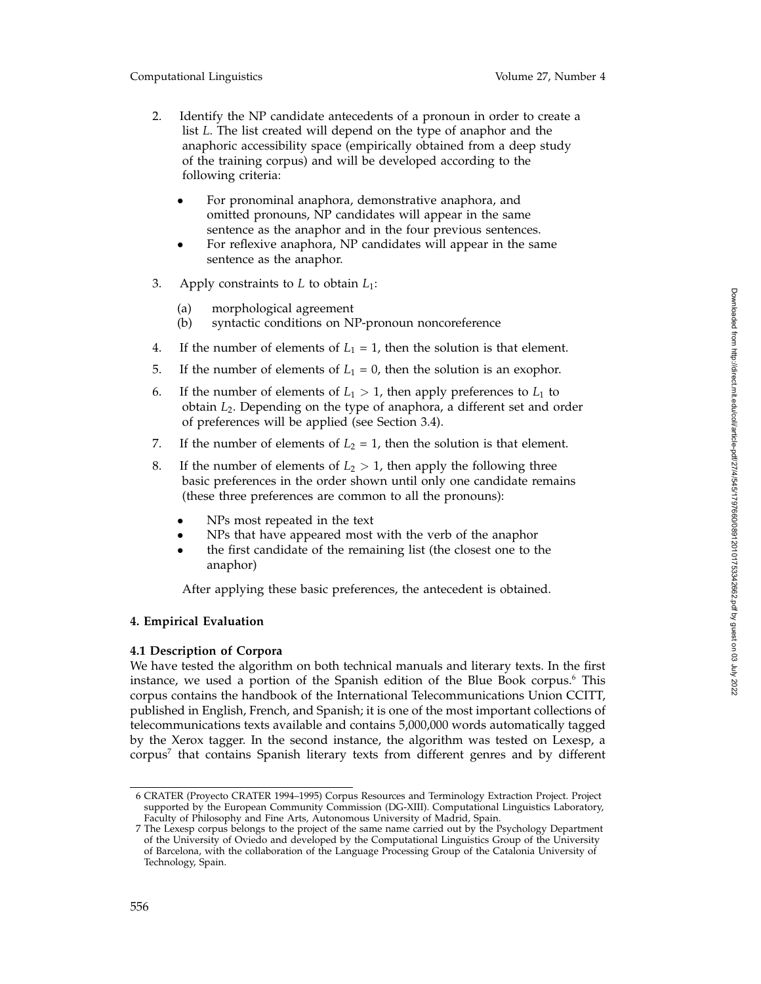- 2. Identify the NP candidate antecedents of a pronoun in order to create a list *L*. The list created will depend on the type of anaphor and the anaphoric accessibility space (empirically obtained from a deep study of the training corpus) and will be developed according to the following criteria:
	- For pronominal anaphora, demonstrative anaphora, and omitted pronouns, NP candidates will appear in the same sentence as the anaphor and in the four previous sentences.
	- For reflexive anaphora, NP candidates will appear in the same sentence as the anaphor.
- 3. Apply constraints to *L* to obtain *L* 1 :
	- (a) morphological agreement
	- (b) syntactic conditions on NP-pronoun noncoreference
- 4. If the number of elements of  $L_1 = 1$ , then the solution is that element.
- 5. If the number of elements of  $L_1 = 0$ , then the solution is an exophor.
- 6. If the number of elements of  $L_1 > 1$ , then apply preferences to  $L_1$  to obtain *L* 2. Depending on the type of anaphora, a different set and order of preferences will be applied (see Section 3.4).
- 7. If the number of elements of  $L_2 = 1$ , then the solution is that element.
- 8. If the number of elements of  $L_2 > 1$ , then apply the following three basic preferences in the order shown until only one candidate remains (these three preferences are common to all the pronouns):
	- NPs most repeated in the text
	- NPs that have appeared most with the verb of the anaphor
	- the first candidate of the remaining list (the closest one to the anaphor)

After applying these basic preferences, the antecedent is obtained.

# **4. Empirical Evaluation**

# **4.1 Description of Corpora**

We have tested the algorithm on both technical manuals and literary texts. In the first instance, we used a portion of the Spanish edition of the Blue Book corpus. <sup>6</sup> This corpus contains the handbook of the International Telecommunications Union CCITT, published in English, French, and Spanish; it is one of the most important collections of telecommunications texts available and contains 5,000,000 words automatically tagged by the Xerox tagger. In the second instance, the algorithm was tested on Lexesp, a corpus <sup>7</sup> that contains Spanish literary texts from different genres and by different

<sup>6</sup> CRATER (Proyecto CRATER 1994–1995) Corpus Resources and Terminology Extraction Project. Project supported by the European Community Commission (DG-XIII). Computational Linguistics Laboratory, Faculty of Philosophy and Fine Arts, Autonomous University of Madrid, Spain.

<sup>7</sup> The Lexesp corpus belongs to the project of the same name carried out by the Psychology Department of the University of Oviedo and developed by the Computational Linguistics Group of the University of Barcelona, with the collaboration of the Language Processing Group of the Catalonia University of Technology, Spain.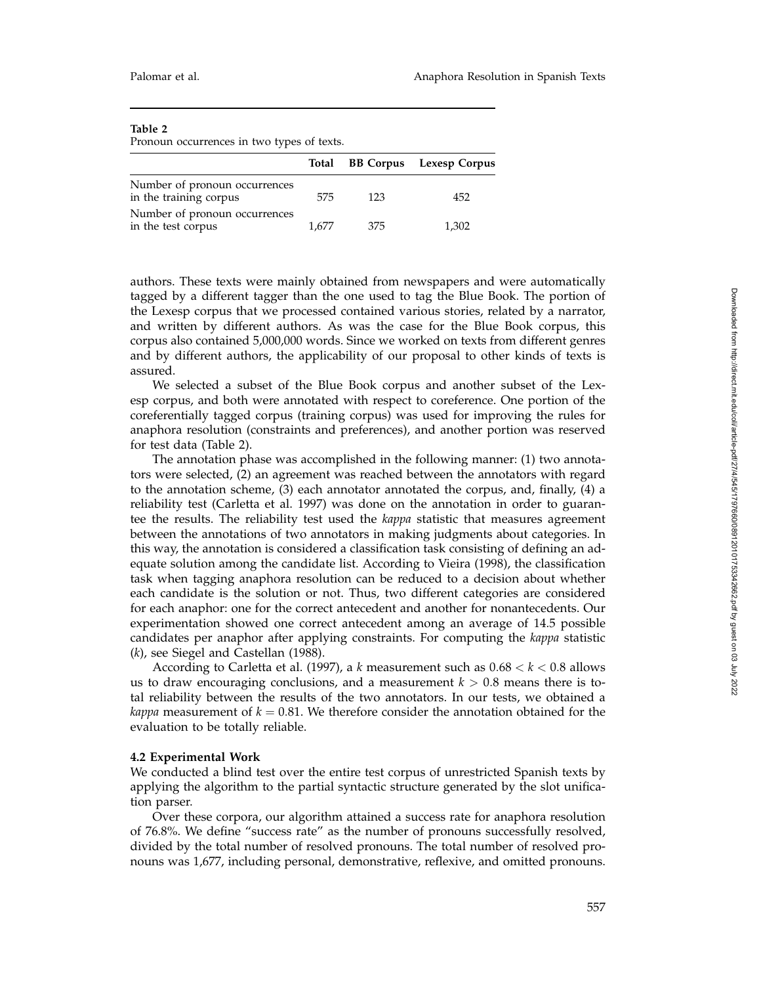#### **Table 2**

Pronoun occurrences in two types of texts.

|                                                         |       |     | Total BB Corpus Lexesp Corpus |
|---------------------------------------------------------|-------|-----|-------------------------------|
| Number of pronoun occurrences<br>in the training corpus | 575   | 123 | 452                           |
| Number of pronoun occurrences<br>in the test corpus     | 1,677 | 375 | 1,302                         |

authors. These texts were mainly obtained from newspapers and were automatically tagged by a different tagger than the one used to tag the Blue Book. The portion of the Lexesp corpus that we processed contained various stories, related by a narrator, and written by different authors. As was the case for the Blue Book corpus, this corpus also contained 5,000,000 words. Since we worked on texts from different genres and by different authors, the applicability of our proposal to other kinds of texts is assured.

We selected a subset of the Blue Book corpus and another subset of the Lexesp corpus, and both were annotated with respect to coreference. One portion of the coreferentially tagged corpus (training corpus) was used for improving the rules for anaphora resolution (constraints and preferences), and another portion was reserved for test data (Table 2).

The annotation phase was accomplished in the following manner: (1) two annotators were selected, (2) an agreement was reached between the annotators with regard to the annotation scheme, (3) each annotator annotated the corpus, and, finally, (4) a reliability test (Carletta et al. 1997) was done on the annotation in order to guarantee the results. The reliability test used the *kappa* statistic that measures agreement between the annotations of two annotators in making judgments about categories. In this way, the annotation is considered a classification task consisting of defining an adequate solution among the candidate list. According to Vieira (1998), the classification task when tagging anaphora resolution can be reduced to a decision about whether each candidate is the solution or not. Thus, two different categories are considered for each anaphor: one for the correct antecedent and another for nonantecedents. Our experimentation showed one correct antecedent among an average of 14.5 possible candidates per anaphor after applying constraints. For computing the *kappa* statistic (*k*), see Siegel and Castellan (1988).

According to Carletta et al. (1997), a *k* measurement such as  $0.68 < k < 0.8$  allows us to draw encouraging conclusions, and a measurement *k >* 0*.*8 means there is total reliability between the results of the two annotators. In our tests, we obtained a *kappa* measurement of  $k = 0.81$ . We therefore consider the annotation obtained for the evaluation to be totally reliable.

#### **4.2 Experimental Work**

We conducted a blind test over the entire test corpus of unrestricted Spanish texts by applying the algorithm to the partial syntactic structure generated by the slot unification parser.

Over these corpora, our algorithm attained a success rate for anaphora resolution of 76.8%. We define "success rate" as the number of pronouns successfully resolved, divided by the total number of resolved pronouns. The total number of resolved pronouns was 1,677, including personal, demonstrative, reflexive, and omitted pronouns.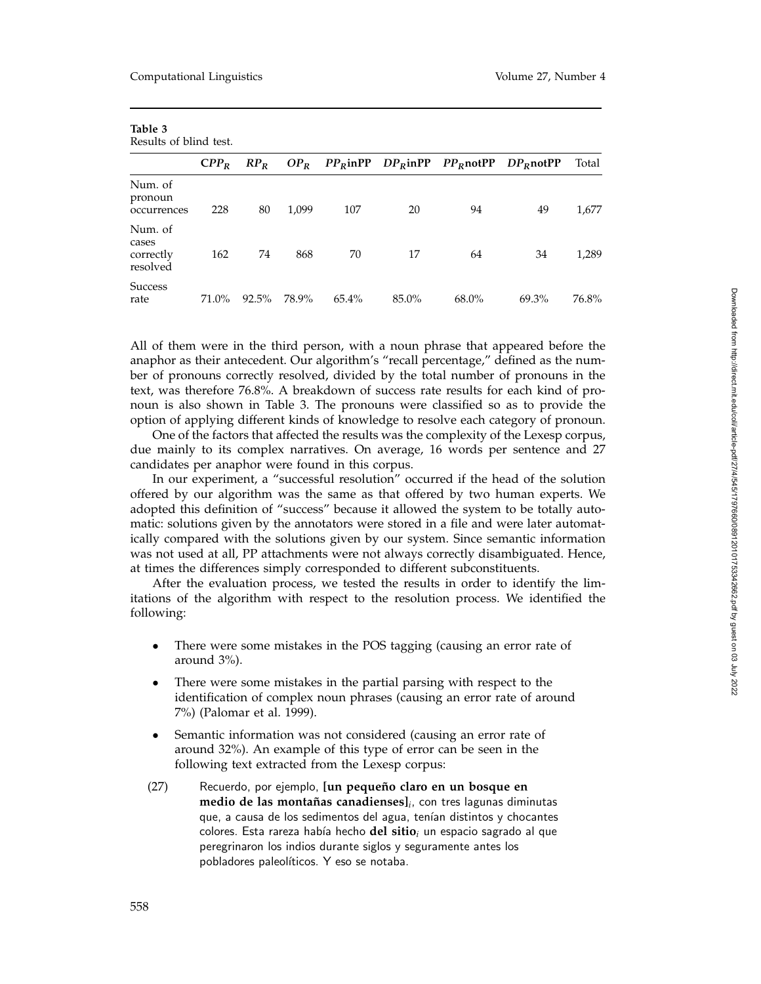| Table 3<br>Results of blind test.         |         |        |        |       |       |                                                   |       |       |  |
|-------------------------------------------|---------|--------|--------|-------|-------|---------------------------------------------------|-------|-------|--|
|                                           | $CPP_R$ | $RP_R$ | $OP_R$ |       |       | $PP_R$ inPP $DP_R$ inPP $PP_R$ notPP $DP_R$ notPP |       | Total |  |
| Num. of<br>pronoun<br>occurrences         | 228     | 80     | 1,099  | 107   | 20    | 94                                                | 49    | 1,677 |  |
| Num. of<br>cases<br>correctly<br>resolved | 162     | 74     | 868    | 70    | 17    | 64                                                | 34    | 1,289 |  |
| <b>Success</b><br>rate                    | 71.0%   | 92.5%  | 78.9%  | 65.4% | 85.0% | 68.0%                                             | 69.3% | 76.8% |  |

All of them were in the third person, with a noun phrase that appeared before the anaphor as their antecedent. Our algorithm's "recall percentage," defined as the number of pronouns correctly resolved, divided by the total number of pronouns in the text, was therefore 76.8%. A breakdown of success rate results for each kind of pronoun is also shown in Table 3. The pronouns were classified so as to provide the option of applying different kinds of knowledge to resolve each category of pronoun.

One of the factors that affected the results was the complexity of the Lexesp corpus, due mainly to its complex narratives. On average, 16 words per sentence and 27 candidates per anaphor were found in this corpus.

In our experiment, a "successful resolution" occurred if the head of the solution offered by our algorithm was the same as that offered by two human experts. We adopted this definition of "success" because it allowed the system to be totally automatic: solutions given by the annotators were stored in a file and were later automatically compared with the solutions given by our system. Since semantic information was not used at all, PP attachments were not always correctly disambiguated. Hence, at times the differences simply corresponded to different subconstituents.

After the evaluation process, we tested the results in order to identify the limitations of the algorithm with respect to the resolution process. We identified the following:

- There were some mistakes in the POS tagging (causing an error rate of around 3%).
- There were some mistakes in the partial parsing with respect to the identification of complex noun phrases (causing an error rate of around 7%) (Palomar et al. 1999).
- Semantic information was not considered (causing an error rate of around 32%). An example of this type of error can be seen in the following text extracted from the Lexesp corpus:
- (27) Recuerdo, por ejemplo, [un pequeño claro en un bosque en **medio de las montañas canadienses]<sub>***i***</sub>**, con tres lagunas diminutas que, a causa de los sedimentos del agua, tenían distintos y chocantes colores. Esta rareza había hecho del sitio<sub>i</sub> un espacio sagrado al que peregrinaron los indios durante siglos y seguramente antes los pobladores paleolíticos. Y eso se notaba.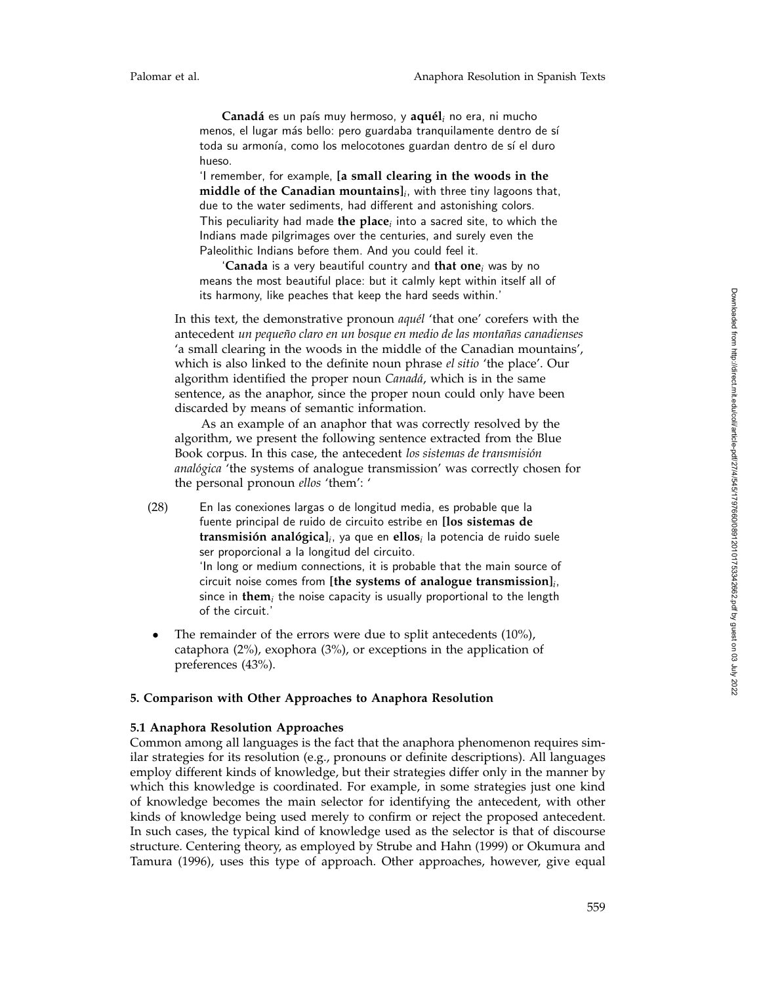$\mathbf C$ anadá es un país muy hermoso, y aquél<sub>í</sub> no era, ni mucho menos, el lugar más bello: pero guardaba tranquilamente dentro de sí toda su armonía, como los melocotones guardan dentro de sí el duro hueso.

'I remember, for example, **[a small clearing in the woods in the middle of the Canadian mountains]** *<sup>i</sup>*, with three tiny lagoons that, due to the water sediments, had different and astonishing colors. This peculiarity had made **the place** *<sup>i</sup>* into a sacred site, to which the Indians made pilgrimages over the centuries, and surely even the Paleolithic Indians before them. And you could feel it.

'**Canada** is a very beautiful country and **that one** *<sup>i</sup>* was by no means the most beautiful place: but it calmly kept within itself all of its harmony, like peaches that keep the hard seeds within.'

In this text, the demonstrative pronoun *aquél* 'that one' corefers with the antecedent *un peque˜no claro en un bosque en medio de las monta˜nas canadienses* 'a small clearing in the woods in the middle of the Canadian mountains', which is also linked to the definite noun phrase *el sitio* 'the place'. Our algorithm identified the proper noun *Canad´a*, which is in the same sentence, as the anaphor, since the proper noun could only have been discarded by means of semantic information.

As an example of an anaphor that was correctly resolved by the algorithm, we present the following sentence extracted from the Blue Book corpus. In this case, the antecedent *los sistemas de transmisión analógica* 'the systems of analogue transmission' was correctly chosen for the personal pronoun *ellos* 'them': '

- (28) En las conexiones largas o de longitud media, es probable que la fuente principal de ruido de circuito estribe en **[los sistemas de**  $\boldsymbol{transmission}$   $\boldsymbol{anal}\delta \boldsymbol{gical}_{i}$ , ya que en  $\boldsymbol{ells}_{i}$  la potencia de ruido suele ser proporcional a la longitud del circuito. 'In long or medium connections, it is probable that the main source of circuit noise comes from **[the systems of analogue transmission]** *i* ,  $\mathsf{s}$ ince in  $\mathbf{them}_i$  the noise capacity is usually proportional to the length of the circuit.'
- The remainder of the errors were due to split antecedents (10%), cataphora (2%), exophora (3%), or exceptions in the application of preferences (43%).

#### **5. Comparison with Other Approaches to Anaphora Resolution**

#### **5.1 Anaphora Resolution Approaches**

Common among all languages is the fact that the anaphora phenomenon requires similar strategies for its resolution (e.g., pronouns or definite descriptions). All languages employ different kinds of knowledge, but their strategies differ only in the manner by which this knowledge is coordinated. For example, in some strategies just one kind of knowledge becomes the main selector for identifying the antecedent, with other kinds of knowledge being used merely to confirm or reject the proposed antecedent. In such cases, the typical kind of knowledge used as the selector is that of discourse structure. Centering theory, as employed by Strube and Hahn (1999) or Okumura and Tamura (1996), uses this type of approach. Other approaches, however, give equal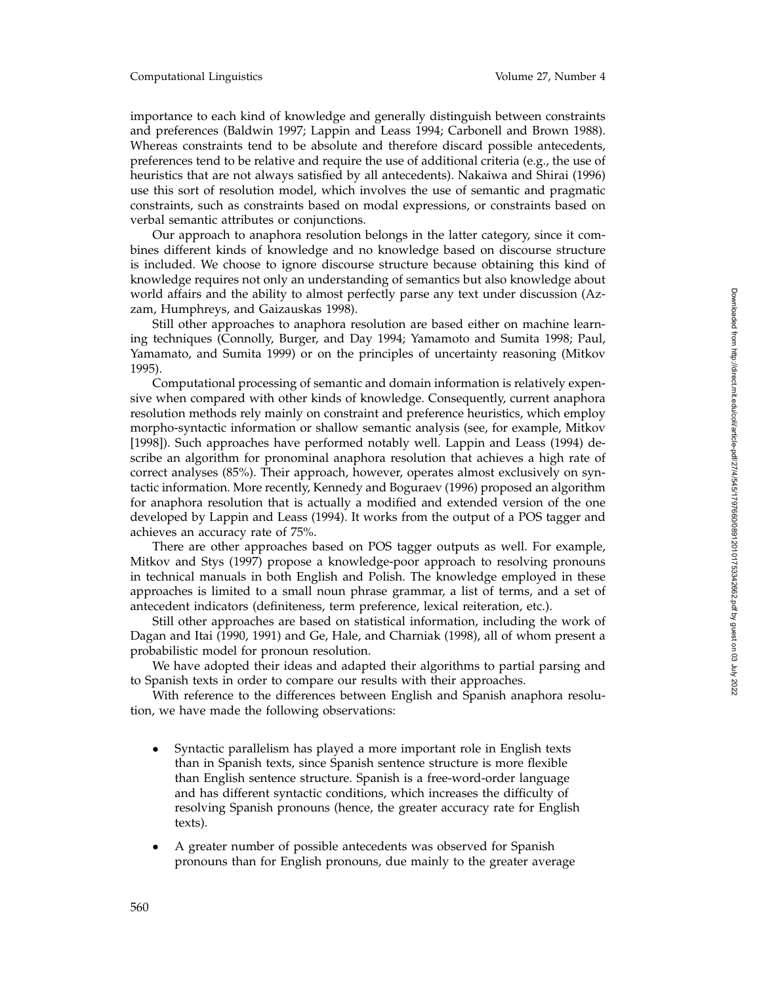importance to each kind of knowledge and generally distinguish between constraints and preferences (Baldwin 1997; Lappin and Leass 1994; Carbonell and Brown 1988). Whereas constraints tend to be absolute and therefore discard possible antecedents, preferences tend to be relative and require the use of additional criteria (e.g., the use of heuristics that are not always satisfied by all antecedents). Nakaiwa and Shirai (1996) use this sort of resolution model, which involves the use of semantic and pragmatic constraints, such as constraints based on modal expressions, or constraints based on verbal semantic attributes or conjunctions.

Our approach to anaphora resolution belongs in the latter category, since it combines different kinds of knowledge and no knowledge based on discourse structure is included. We choose to ignore discourse structure because obtaining this kind of knowledge requires not only an understanding of semantics but also knowledge about world affairs and the ability to almost perfectly parse any text under discussion (Azzam, Humphreys, and Gaizauskas 1998).

Still other approaches to anaphora resolution are based either on machine learning techniques (Connolly, Burger, and Day 1994; Yamamoto and Sumita 1998; Paul, Yamamato, and Sumita 1999) or on the principles of uncertainty reasoning (Mitkov 1995).

Computational processing of semantic and domain information is relatively expensive when compared with other kinds of knowledge. Consequently, current anaphora resolution methods rely mainly on constraint and preference heuristics, which employ morpho-syntactic information or shallow semantic analysis (see, for example, Mitkov [1998]). Such approaches have performed notably well. Lappin and Leass (1994) describe an algorithm for pronominal anaphora resolution that achieves a high rate of correct analyses (85%). Their approach, however, operates almost exclusively on syntactic information. More recently, Kennedy and Boguraev (1996) proposed an algorithm for anaphora resolution that is actually a modified and extended version of the one developed by Lappin and Leass (1994). It works from the output of a POS tagger and achieves an accuracy rate of 75%.

There are other approaches based on POS tagger outputs as well. For example, Mitkov and Stys (1997) propose a knowledge-poor approach to resolving pronouns in technical manuals in both English and Polish. The knowledge employed in these approaches is limited to a small noun phrase grammar, a list of terms, and a set of antecedent indicators (definiteness, term preference, lexical reiteration, etc.).

Still other approaches are based on statistical information, including the work of Dagan and Itai (1990, 1991) and Ge, Hale, and Charniak (1998), all of whom present a probabilistic model for pronoun resolution.

We have adopted their ideas and adapted their algorithms to partial parsing and to Spanish texts in order to compare our results with their approaches.

With reference to the differences between English and Spanish anaphora resolution, we have made the following observations:

- Syntactic parallelism has played a more important role in English texts than in Spanish texts, since Spanish sentence structure is more flexible than English sentence structure. Spanish is a free-word-order language and has different syntactic conditions, which increases the difficulty of resolving Spanish pronouns (hence, the greater accuracy rate for English texts).
- A greater number of possible antecedents was observed for Spanish pronouns than for English pronouns, due mainly to the greater average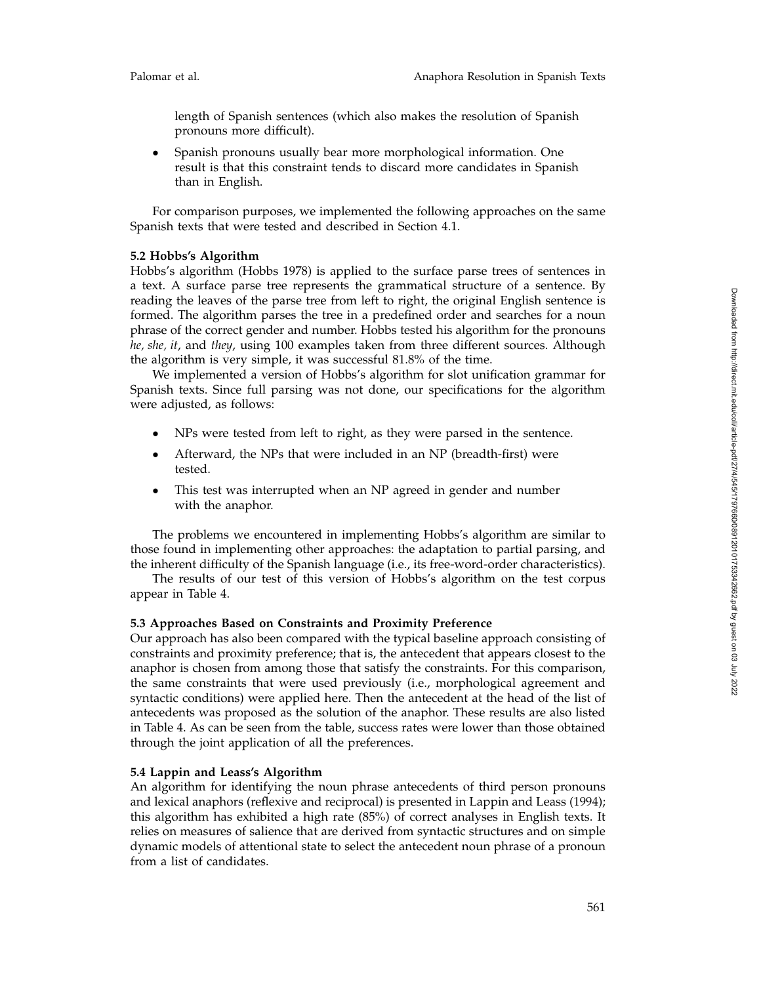length of Spanish sentences (which also makes the resolution of Spanish pronouns more difficult).

• Spanish pronouns usually bear more morphological information. One result is that this constraint tends to discard more candidates in Spanish than in English.

For comparison purposes, we implemented the following approaches on the same Spanish texts that were tested and described in Section 4.1.

#### **5.2 Hobbs's Algorithm**

Hobbs's algorithm (Hobbs 1978) is applied to the surface parse trees of sentences in a text. A surface parse tree represents the grammatical structure of a sentence. By reading the leaves of the parse tree from left to right, the original English sentence is formed. The algorithm parses the tree in a predefined order and searches for a noun phrase of the correct gender and number. Hobbs tested his algorithm for the pronouns *he, she, it*, and *they*, using 100 examples taken from three different sources. Although the algorithm is very simple, it was successful 81.8% of the time.

We implemented a version of Hobbs's algorithm for slot unification grammar for Spanish texts. Since full parsing was not done, our specifications for the algorithm were adjusted, as follows:

- NPs were tested from left to right, as they were parsed in the sentence.
- Afterward, the NPs that were included in an NP (breadth-first) were tested.
- This test was interrupted when an NP agreed in gender and number with the anaphor.

The problems we encountered in implementing Hobbs's algorithm are similar to those found in implementing other approaches: the adaptation to partial parsing, and the inherent difficulty of the Spanish language (i.e., its free-word-order characteristics).

The results of our test of this version of Hobbs's algorithm on the test corpus appear in Table 4.

# **5.3 Approaches Based on Constraints and Proximity Preference**

Our approach has also been compared with the typical baseline approach consisting of constraints and proximity preference; that is, the antecedent that appears closest to the anaphor is chosen from among those that satisfy the constraints. For this comparison, the same constraints that were used previously (i.e., morphological agreement and syntactic conditions) were applied here. Then the antecedent at the head of the list of antecedents was proposed as the solution of the anaphor. These results are also listed in Table 4. As can be seen from the table, success rates were lower than those obtained through the joint application of all the preferences.

# **5.4 Lappin and Leass's Algorithm**

An algorithm for identifying the noun phrase antecedents of third person pronouns and lexical anaphors (reflexive and reciprocal) is presented in Lappin and Leass (1994); this algorithm has exhibited a high rate (85%) of correct analyses in English texts. It relies on measures of salience that are derived from syntactic structures and on simple dynamic models of attentional state to select the antecedent noun phrase of a pronoun from a list of candidates.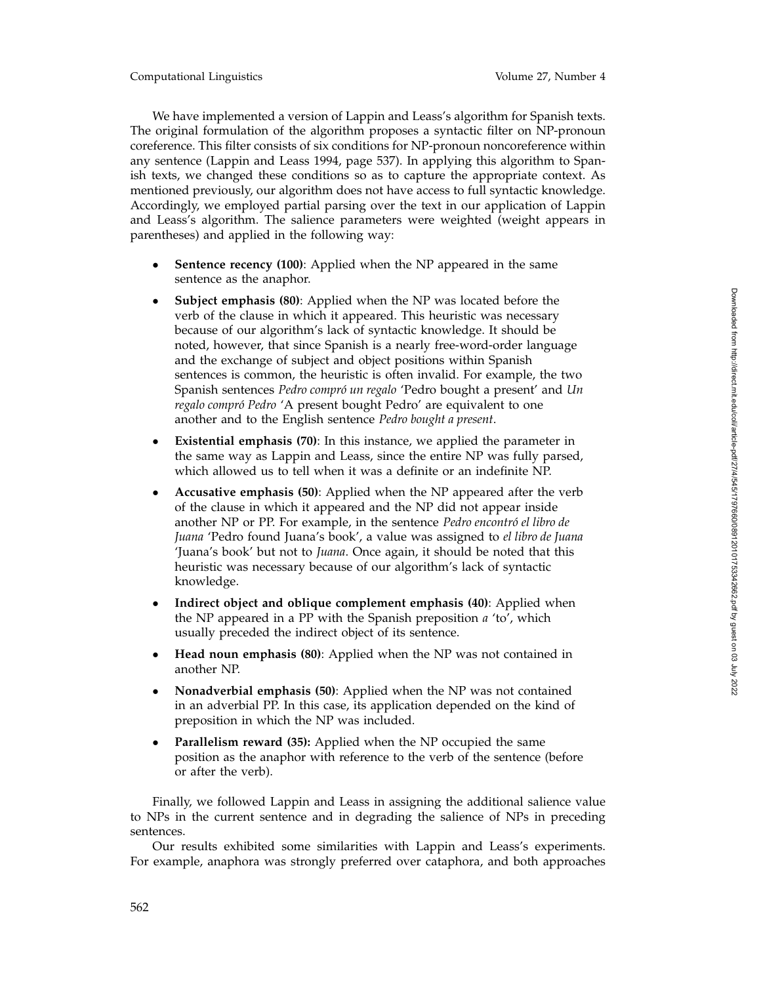We have implemented a version of Lappin and Leass's algorithm for Spanish texts. The original formulation of the algorithm proposes a syntactic filter on NP-pronoun coreference. This filter consists of six conditions for NP-pronoun noncoreference within any sentence (Lappin and Leass 1994, page 537). In applying this algorithm to Spanish texts, we changed these conditions so as to capture the appropriate context. As mentioned previously, our algorithm does not have access to full syntactic knowledge. Accordingly, we employed partial parsing over the text in our application of Lappin and Leass's algorithm. The salience parameters were weighted (weight appears in parentheses) and applied in the following way:

- **Sentence recency (100)**: Applied when the NP appeared in the same sentence as the anaphor.
- **Subject emphasis (80)**: Applied when the NP was located before the verb of the clause in which it appeared. This heuristic was necessary because of our algorithm's lack of syntactic knowledge. It should be noted, however, that since Spanish is a nearly free-word-order language and the exchange of subject and object positions within Spanish sentences is common, the heuristic is often invalid. For example, the two Spanish sentences *Pedro compró un regalo* 'Pedro bought a present' and *Un regalo compr´o Pedro* 'A present bought Pedro' are equivalent to one another and to the English sentence *Pedro bought a present* .
- **Existential emphasis (70)**: In this instance, we applied the parameter in the same way as Lappin and Leass, since the entire NP was fully parsed, which allowed us to tell when it was a definite or an indefinite NP.
- **Accusative emphasis (50)**: Applied when the NP appeared after the verb of the clause in which it appeared and the NP did not appear inside another NP or PP. For example, in the sentence *Pedro encontró el libro de Juana* 'Pedro found Juana's book', a value was assigned to *el libro de Juana* 'Juana's book' but not to *Juana*. Once again, it should be noted that this heuristic was necessary because of our algorithm's lack of syntactic knowledge.
- **Indirect object and oblique complement emphasis (40)**: Applied when the NP appeared in a PP with the Spanish preposition *a* 'to', which usually preceded the indirect object of its sentence.
- **Head noun emphasis (80)**: Applied when the NP was not contained in another NP.
- **Nonadverbial emphasis (50)**: Applied when the NP was not contained in an adverbial PP. In this case, its application depended on the kind of preposition in which the NP was included.
- **Parallelism reward (35):** Applied when the NP occupied the same position as the anaphor with reference to the verb of the sentence (before or after the verb).

Finally, we followed Lappin and Leass in assigning the additional salience value to NPs in the current sentence and in degrading the salience of NPs in preceding sentences.

Our results exhibited some similarities with Lappin and Leass's experiments. For example, anaphora was strongly preferred over cataphora, and both approaches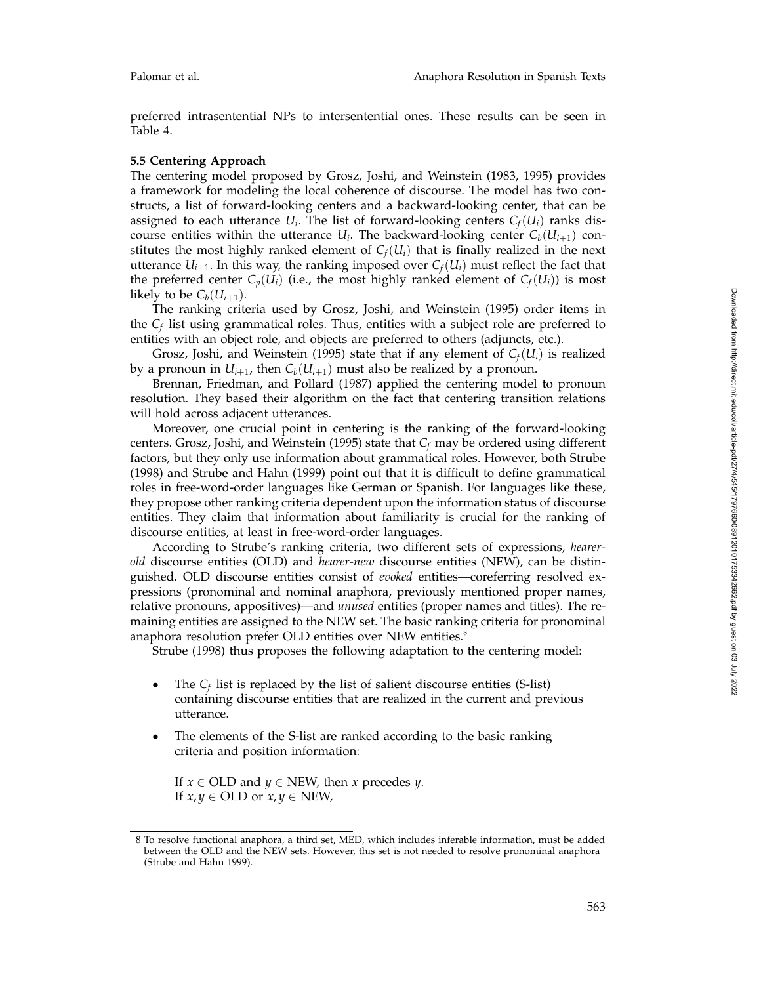preferred intrasentential NPs to intersentential ones. These results can be seen in Table 4.

#### **5.5 Centering Approach**

The centering model proposed by Grosz, Joshi, and Weinstein (1983, 1995) provides a framework for modeling the local coherence of discourse. The model has two constructs, a list of forward-looking centers and a backward-looking center, that can be assigned to each utterance  $U_i$ . The list of forward-looking centers  $C_f(U_i)$  ranks discourse entities within the utterance  $U_i$ . The backward-looking center  $C_b(U_{i+1})$  constitutes the most highly ranked element of  $C_f(U_i)$  that is finally realized in the next utterance  $U_{i+1}$ . In this way, the ranking imposed over  $C_f(U_i)$  must reflect the fact that the preferred center  $C_p(U_i)$  (i.e., the most highly ranked element of  $C_f(U_i)$ ) is most likely to be  $C_b(U_{i+1})$ .

The ranking criteria used by Grosz, Joshi, and Weinstein (1995) order items in the *Cf* list using grammatical roles. Thus, entities with a subject role are preferred to entities with an object role, and objects are preferred to others (adjuncts, etc.).

Grosz, Joshi, and Weinstein (1995) state that if any element of  $C_f(U_i)$  is realized by a pronoun in  $U_{i+1}$ , then  $C_b(U_{i+1})$  must also be realized by a pronoun.

Brennan, Friedman, and Pollard (1987) applied the centering model to pronoun resolution. They based their algorithm on the fact that centering transition relations will hold across adjacent utterances.

Moreover, one crucial point in centering is the ranking of the forward-looking centers. Grosz, Joshi, and Weinstein (1995) state that *Cf* may be ordered using different factors, but they only use information about grammatical roles. However, both Strube (1998) and Strube and Hahn (1999) point out that it is difficult to define grammatical roles in free-word-order languages like German or Spanish. For languages like these, they propose other ranking criteria dependent upon the information status of discourse entities. They claim that information about familiarity is crucial for the ranking of discourse entities, at least in free-word-order languages.

According to Strube's ranking criteria, two different sets of expressions, *hearerold* discourse entities (OLD) and *hearer-new* discourse entities (NEW), can be distinguished. OLD discourse entities consist of *evoked* entities—coreferring resolved expressions (pronominal and nominal anaphora, previously mentioned proper names, relative pronouns, appositives)—and *unused* entities (proper names and titles). The remaining entities are assigned to the NEW set. The basic ranking criteria for pronominal anaphora resolution prefer OLD entities over NEW entities.<sup>8</sup>

Strube (1998) thus proposes the following adaptation to the centering model:

- The  $C_f$  list is replaced by the list of salient discourse entities (S-list) containing discourse entities that are realized in the current and previous utterance.
- The elements of the S-list are ranked according to the basic ranking criteria and position information:

If  $x \in$  OLD and  $y \in$  NEW, then  $x$  precedes  $y$ . If  $x, y \in$  OLD or  $x, y \in$  NEW,

<sup>8</sup> To resolve functional anaphora, a third set, MED, which includes inferable information, must be added between the OLD and the NEW sets. However, this set is not needed to resolve pronominal anaphora (Strube and Hahn 1999).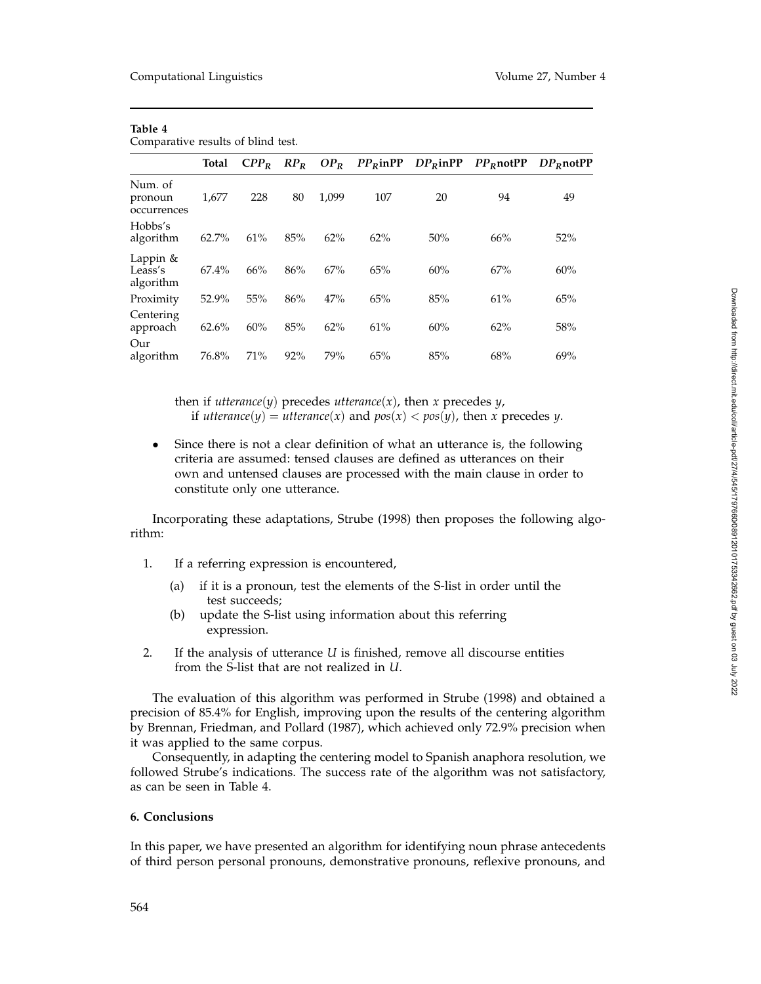**Table 4**

| Comparative results of blind test. |       |         |        |        |                |             |                 |              |
|------------------------------------|-------|---------|--------|--------|----------------|-------------|-----------------|--------------|
|                                    | Total | $CPP_R$ | $RP_R$ | $OP_R$ | $PP_R$ in $PP$ | $DP_R$ inPP | $PP_R$ not $PP$ | $DP_R$ notPP |
| Num. of<br>pronoun<br>occurrences  | 1,677 | 228     | 80     | 1,099  | 107            | 20          | 94              | 49           |
| Hobbs's<br>algorithm               | 62.7% | 61%     | 85%    | 62%    | 62%            | 50%         | 66%             | 52%          |
| Lappin $&$<br>Leass's<br>algorithm | 67.4% | 66%     | 86%    | 67%    | 65%            | 60%         | 67%             | 60%          |
| Proximity                          | 52.9% | 55%     | 86%    | 47%    | 65%            | 85%         | 61%             | 65%          |
| Centering<br>approach              | 62.6% | 60%     | 85%    | 62%    | 61%            | 60%         | 62%             | 58%          |
| Our<br>algorithm                   | 76.8% | 71%     | 92%    | 79%    | 65%            | 85%         | 68%             | 69%          |

then if *utterance*( $y$ ) precedes *utterance*( $x$ ), then  $x$  precedes  $y$ , if *utterance*(*y*) = *utterance*(*x*) and  $pos(x) < pos(y)$ , then *x* precedes *y*.

• Since there is not a clear definition of what an utterance is, the following criteria are assumed: tensed clauses are defined as utterances on their own and untensed clauses are processed with the main clause in order to constitute only one utterance.

Incorporating these adaptations, Strube (1998) then proposes the following algorithm:

- 1. If a referring expression is encountered,
	- (a) if it is a pronoun, test the elements of the S-list in order until the test succeeds;
	- (b) update the S-list using information about this referring expression.
- 2. If the analysis of utterance *U* is finished, remove all discourse entities from the S-list that are not realized in *U*.

The evaluation of this algorithm was performed in Strube (1998) and obtained a precision of 85.4% for English, improving upon the results of the centering algorithm by Brennan, Friedman, and Pollard (1987), which achieved only 72.9% precision when it was applied to the same corpus.

Consequently, in adapting the centering model to Spanish anaphora resolution, we followed Strube's indications. The success rate of the algorithm was not satisfactory, as can be seen in Table 4.

## **6. Conclusions**

In this paper, we have presented an algorithm for identifying noun phrase antecedents of third person personal pronouns, demonstrative pronouns, reflexive pronouns, and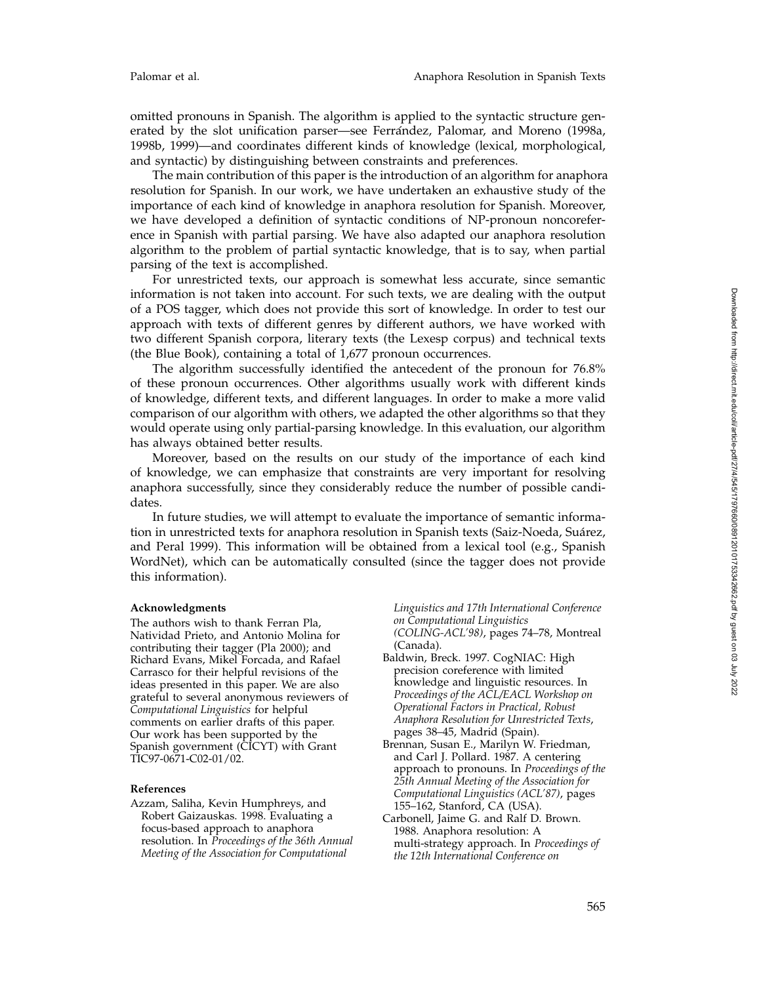omitted pronouns in Spanish. The algorithm is applied to the syntactic structure generated by the slot unification parser—see Ferrández, Palomar, and Moreno (1998a, 1998b, 1999)—and coordinates different kinds of knowledge (lexical, morphological, and syntactic) by distinguishing between constraints and preferences.

The main contribution of this paper is the introduction of an algorithm for anaphora resolution for Spanish. In our work, we have undertaken an exhaustive study of the importance of each kind of knowledge in anaphora resolution for Spanish. Moreover, we have developed a definition of syntactic conditions of NP-pronoun noncoreference in Spanish with partial parsing. We have also adapted our anaphora resolution algorithm to the problem of partial syntactic knowledge, that is to say, when partial parsing of the text is accomplished.

For unrestricted texts, our approach is somewhat less accurate, since semantic information is not taken into account. For such texts, we are dealing with the output of a POS tagger, which does not provide this sort of knowledge. In order to test our approach with texts of different genres by different authors, we have worked with two different Spanish corpora, literary texts (the Lexesp corpus) and technical texts (the Blue Book), containing a total of 1,677 pronoun occurrences.

The algorithm successfully identified the antecedent of the pronoun for 76.8% of these pronoun occurrences. Other algorithms usually work with different kinds of knowledge, different texts, and different languages. In order to make a more valid comparison of our algorithm with others, we adapted the other algorithms so that they would operate using only partial-parsing knowledge. In this evaluation, our algorithm has always obtained better results.

Moreover, based on the results on our study of the importance of each kind of knowledge, we can emphasize that constraints are very important for resolving anaphora successfully, since they considerably reduce the number of possible candidates.

In future studies, we will attempt to evaluate the importance of semantic information in unrestricted texts for anaphora resolution in Spanish texts (Saiz-Noeda, Suárez, and Peral 1999). This information will be obtained from a lexical tool (e.g., Spanish WordNet), which can be automatically consulted (since the tagger does not provide this information).

#### **Acknowledgments**

The authors wish to thank Ferran Pla, Natividad Prieto, and Antonio Molina for contributing their tagger (Pla 2000); and Richard Evans, Mikel Forcada, and Rafael Carrasco for their helpful revisions of the ideas presented in this paper. We are also grateful to several anonymous reviewers of *Computational Linguistics* for helpful comments on earlier drafts of this paper. Our work has been supported by the Spanish government (CICYT) with Grant TIC97-0671-C02-01/02.

#### **References**

Azzam, Saliha, Kevin Humphreys, and Robert Gaizauskas. 1998. Evaluating a focus-based approach to anaphora resolution. In *Proceedings of the 36th Annual Meeting of the Association for Computational*

*Linguistics and 17th International Conference on Computational Linguistics*

*(COLING-ACL'98)*, pages 74–78, Montreal (Canada).

- Baldwin, Breck. 1997. CogNIAC: High precision coreference with limited knowledge and linguistic resources. In *Proceedings of the ACL/EACL Workshop on Operational Factors in Practical, Robust Anaphora Resolution for Unrestricted Texts* , pages 38–45, Madrid (Spain).
- Brennan, Susan E., Marilyn W. Friedman, and Carl J. Pollard. 1987. A centering approach to pronouns. In *Proceedings of the 25th Annual Meeting of the Association for Computational Linguistics (ACL'87)*, pages 155–162, Stanford, CA (USA).
- Carbonell, Jaime G. and Ralf D. Brown. 1988. Anaphora resolution: A multi-strategy approach. In *Proceedings of the 12th International Conference on*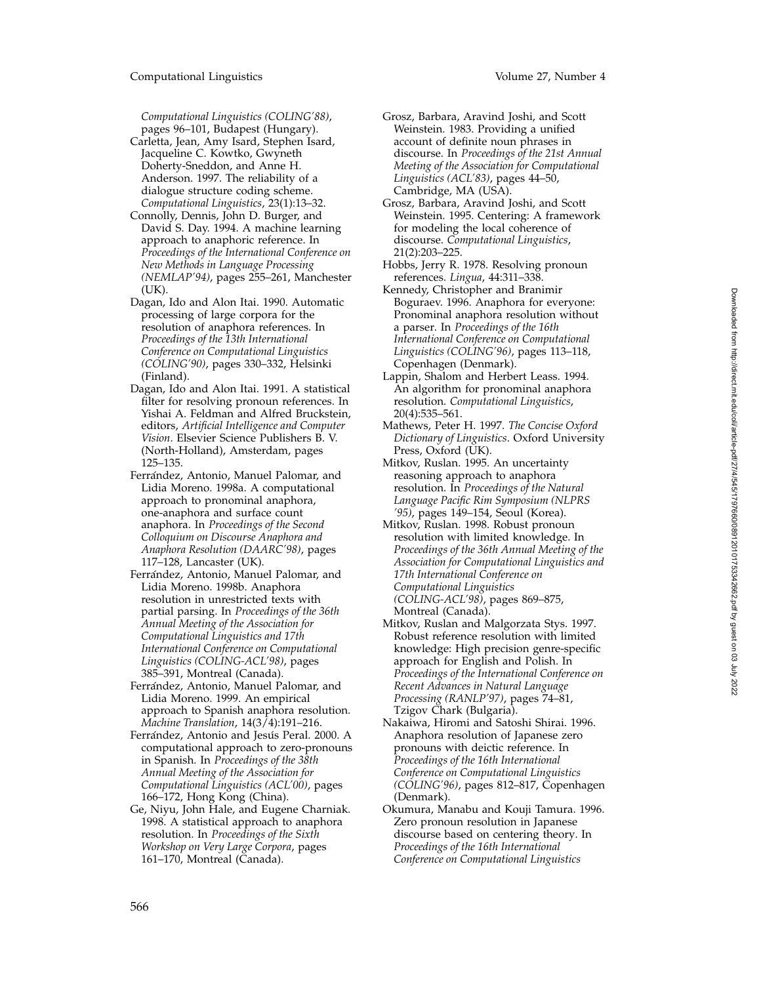*Computational Linguistics (COLING'88)* ,

pages 96–101, Budapest (Hungary). Carletta, Jean, Amy Isard, Stephen Isard, Jacqueline C. Kowtko, Gwyneth

- Doherty-Sneddon, and Anne H. Anderson. 1997. The reliability of a dialogue structure coding scheme. *Computational Linguistics*, 23(1):13–32. Connolly, Dennis, John D. Burger, and
- David S. Day. 1994. A machine learning approach to anaphoric reference. In *Proceedings of the International Conference on New Methods in Language Processing (NEMLAP'94)*, pages 255–261, Manchester (UK).
- Dagan, Ido and Alon Itai. 1990. Automatic processing of large corpora for the resolution of anaphora references. In *Proceedings of the 13th International Conference on Computational Linguistics (COLING'90)*, pages 330–332, Helsinki (Finland).
- Dagan, Ido and Alon Itai. 1991. A statistical filter for resolving pronoun references. In Yishai A. Feldman and Alfred Bruckstein, editors, *Artificial Intelligence and Computer Vision*. Elsevier Science Publishers B. V. (North-Holland), Amsterdam, pages 125–135.
- Ferrández, Antonio, Manuel Palomar, and Lidia Moreno. 1998a. A computational approach to pronominal anaphora, one-anaphora and surface count anaphora. In *Proceedings of the Second Colloquium on Discourse Anaphora and Anaphora Resolution (DAARC'98)*, pages 117–128, Lancaster (UK).
- Ferrández, Antonio, Manuel Palomar, and Lidia Moreno. 1998b. Anaphora resolution in unrestricted texts with partial parsing. In *Proceedings of the 36th Annual Meeting of the Association for Computational Linguistics and 17th International Conference on Computational Linguistics (COLING-ACL'98)*, pages 385–391, Montreal (Canada).
- Ferrández, Antonio, Manuel Palomar, and Lidia Moreno. 1999. An empirical approach to Spanish anaphora resolution. *Machine Translation*, 14(3/4):191–216.
- Ferrández, Antonio and Jesús Peral. 2000. A computational approach to zero-pronouns in Spanish. In *Proceedings of the 38th Annual Meeting of the Association for Computational Linguistics (ACL'00)*, pages 166–172, Hong Kong (China).
- Ge, Niyu, John Hale, and Eugene Charniak. 1998. A statistical approach to anaphora resolution. In *Proceedings of the Sixth Workshop on Very Large Corpora*, pages 161–170, Montreal (Canada).
- Grosz, Barbara, Aravind Joshi, and Scott Weinstein. 1983. Providing a unified account of definite noun phrases in discourse. In *Proceedings of the 21st Annual Meeting of the Association for Computational Linguistics (ACL'83)*, pages 44–50, Cambridge, MA (USA).
- Grosz, Barbara, Aravind Joshi, and Scott Weinstein. 1995. Centering: A framework for modeling the local coherence of discourse. *Computational Linguistics* , 21(2):203–225.
- Hobbs, Jerry R. 1978. Resolving pronoun references. *Lingua*, 44:311–338.
- Kennedy, Christopher and Branimir Boguraev. 1996. Anaphora for everyone: Pronominal anaphora resolution without a parser. In *Proceedings of the 16th International Conference on Computational Linguistics (COLING'96)*, pages 113–118, Copenhagen (Denmark).
- Lappin, Shalom and Herbert Leass. 1994. An algorithm for pronominal anaphora resolution. *Computational Linguistics* , 20(4):535–561.
- Mathews, Peter H. 1997. *The Concise Oxford Dictionary of Linguistics*. Oxford University Press, Oxford (UK).
- Mitkov, Ruslan. 1995. An uncertainty reasoning approach to anaphora resolution. In *Proceedings of the Natural Language Pacific Rim Symposium (NLPRS '95)*, pages 149–154, Seoul (Korea).
- Mitkov, Ruslan. 1998. Robust pronoun resolution with limited knowledge. In *Proceedings of the 36th Annual Meeting of the Association for Computational Linguistics and 17th International Conference on Computational Linguistics (COLING-ACL'98)*, pages 869–875, Montreal (Canada).
- Mitkov, Ruslan and Malgorzata Stys. 1997. Robust reference resolution with limited knowledge: High precision genre-specific approach for English and Polish. In *Proceedings of the International Conference on Recent Advances in Natural Language Processing (RANLP'97)*, pages 74–81, Tzigov Chark (Bulgaria).
- Nakaiwa, Hiromi and Satoshi Shirai. 1996. Anaphora resolution of Japanese zero pronouns with deictic reference. In *Proceedings of the 16th International Conference on Computational Linguistics (COLING'96)*, pages 812–817, Copenhagen (Denmark).
- Okumura, Manabu and Kouji Tamura. 1996. Zero pronoun resolution in Japanese discourse based on centering theory. In *Proceedings of the 16th International Conference on Computational Linguistics*